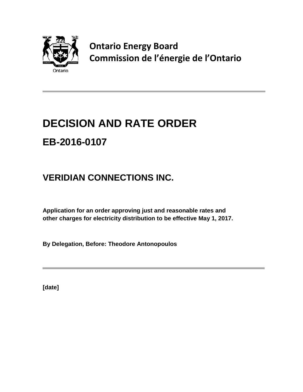

**Ontario Energy Board Commission de l'énergie de l'Ontario**

# **DECISION AND RATE ORDER EB-2016-0107**

## **VERIDIAN CONNECTIONS INC.**

**Application for an order approving just and reasonable rates and other charges for electricity distribution to be effective May 1, 2017.**

**By Delegation, Before: Theodore Antonopoulos**

**[date]**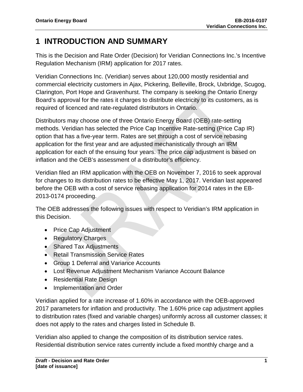## **1 INTRODUCTION AND SUMMARY**

This is the Decision and Rate Order (Decision) for Veridian Connections Inc.'s Incentive Regulation Mechanism (IRM) application for 2017 rates.

Veridian Connections Inc. (Veridian) serves about 120,000 mostly residential and commercial electricity customers in Ajax, Pickering, Belleville, Brock, Uxbridge, Scugog, Clarington, Port Hope and Gravenhurst. The company is seeking the Ontario Energy Board's approval for the rates it charges to distribute electricity to its customers, as is required of licenced and rate-regulated distributors in Ontario.

Distributors may choose one of three Ontario Energy Board (OEB) rate-setting methods. Veridian has selected the Price Cap Incentive Rate-setting (Price Cap IR) option that has a five-year term. Rates are set through a cost of service rebasing application for the first year and are adjusted mechanistically through an IRM application for each of the ensuing four years. The price cap adjustment is based on inflation and the OEB's assessment of a distributor's efficiency.

Veridian filed an IRM application with the OEB on November 7, 2016 to seek approval for changes to its distribution rates to be effective May 1, 2017. Veridian last appeared before the OEB with a cost of service rebasing application for 2014 rates in the EB-2013-0174 proceeding.

The OEB addresses the following issues with respect to Veridian's IRM application in this Decision.

- Price Cap Adjustment
- Regulatory Charges
- Shared Tax Adjustments
- Retail Transmission Service Rates
- Group 1 Deferral and Variance Accounts
- Lost Revenue Adjustment Mechanism Variance Account Balance
- Residential Rate Design
- Implementation and Order

Veridian applied for a rate increase of 1.60% in accordance with the OEB-approved 2017 parameters for inflation and productivity. The 1.60% price cap adjustment applies to distribution rates (fixed and variable charges) uniformly across all customer classes; it does not apply to the rates and charges listed in Schedule B.

Veridian also applied to change the composition of its distribution service rates. Residential distribution service rates currently include a fixed monthly charge and a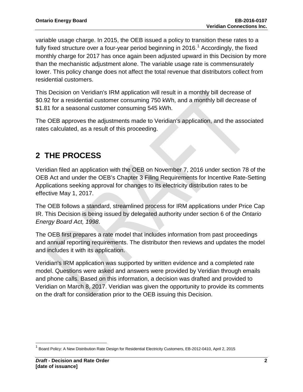variable usage charge. In 2015, the OEB issued a policy to transition these rates to a fully fixed structure over a four-year period beginning in 20[1](#page-2-0)6.<sup>1</sup> Accordingly, the fixed monthly charge for 2017 has once again been adjusted upward in this Decision by more than the mechanistic adjustment alone. The variable usage rate is commensurately lower. This policy change does not affect the total revenue that distributors collect from residential customers.

This Decision on Veridian's IRM application will result in a monthly bill decrease of \$0.92 for a residential customer consuming 750 kWh, and a monthly bill decrease of \$1.81 for a seasonal customer consuming 545 kWh.

The OEB approves the adjustments made to Veridian's application, and the associated rates calculated, as a result of this proceeding.

## **2 THE PROCESS**

Veridian filed an application with the OEB on November 7, 2016 under section 78 of the OEB Act and under the OEB's Chapter 3 Filing Requirements for Incentive Rate-Setting Applications seeking approval for changes to its electricity distribution rates to be effective May 1, 2017.

The OEB follows a standard, streamlined process for IRM applications under Price Cap IR. This Decision is being issued by delegated authority under section 6 of the *Ontario Energy Board Act, 1998*.

The OEB first prepares a rate model that includes information from past proceedings and annual reporting requirements. The distributor then reviews and updates the model and includes it with its application.

Veridian's IRM application was supported by written evidence and a completed rate model. Questions were asked and answers were provided by Veridian through emails and phone calls. Based on this information, a decision was drafted and provided to Veridian on March 8, 2017. Veridian was given the opportunity to provide its comments on the draft for consideration prior to the OEB issuing this Decision.

<span id="page-2-0"></span><sup>1</sup> Board Policy: A New Distribution Rate Design for Residential Electricity Customers, EB-2012-0410, April 2, 2015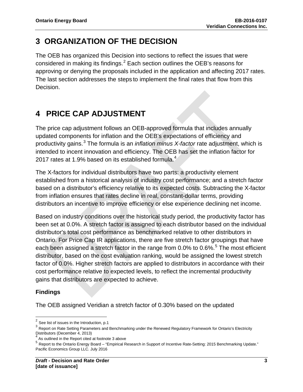## **3 ORGANIZATION OF THE DECISION**

The OEB has organized this Decision into sections to reflect the issues that were considered in making its findings. $^2$  $^2$  Each section outlines the OEB's reasons for approving or denying the proposals included in the application and affecting 2017 rates. The last section addresses the steps to implement the final rates that flow from this Decision.

## **4 PRICE CAP ADJUSTMENT**

The price cap adjustment follows an OEB-approved formula that includes annually updated components for inflation and the OEB's expectations of efficiency and productivity gains. [3](#page-3-1) The formula is an *inflation minus X-factor* rate adjustment, which is intended to incent innovation and efficiency. The OEB has set the inflation factor for 2017 rates at 1.9% based on its established formula.<sup>[4](#page-3-2)</sup>

The X-factors for individual distributors have two parts: a productivity element established from a historical analysis of industry cost performance; and a stretch factor based on a distributor's efficiency relative to its expected costs. Subtracting the X-factor from inflation ensures that rates decline in real, constant-dollar terms, providing distributors an incentive to improve efficiency or else experience declining net income.

Based on industry conditions over the historical study period, the productivity factor has been set at 0.0%. A stretch factor is assigned to each distributor based on the individual distributor's total cost performance as benchmarked relative to other distributors in Ontario. For Price Cap IR applications, there are five stretch factor groupings that have each been assigned a stretch factor in the range from 0.0% to 0.6%.<sup>[5](#page-3-3)</sup> The most efficient distributor, based on the cost evaluation ranking, would be assigned the lowest stretch factor of 0.0%. Higher stretch factors are applied to distributors in accordance with their cost performance relative to expected levels, to reflect the incremental productivity gains that distributors are expected to achieve.

### **Findings**

The OEB assigned Veridian a stretch factor of 0.30% based on the updated

<span id="page-3-0"></span> $2$  See list of issues in the Introduction, p.1

<span id="page-3-1"></span> $3$  Report on Rate Setting Parameters and Benchmarking under the Renewed Regulatory Framework for Ontario's Electricity Distributors (December 4, 2013)

<span id="page-3-2"></span> $4$  As outlined in the Report cited at footnote 3 above

<span id="page-3-3"></span><sup>5</sup> Report to the Ontario Energy Board – "Empirical Research in Support of Incentive Rate-Setting: 2015 Benchmarking Update." Pacific Economics Group LLC. July 2016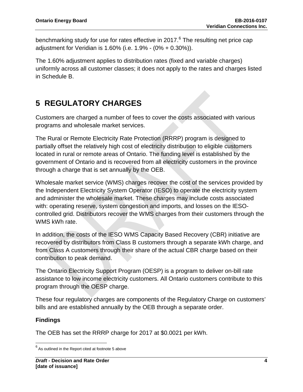benchmarking study for use for rates effective in 2017.<sup>[6](#page-4-0)</sup> The resulting net price cap adjustment for Veridian is 1.60% (i.e. 1.9% - (0% + 0.30%)).

The 1.60% adjustment applies to distribution rates (fixed and variable charges) uniformly across all customer classes; it does not apply to the rates and charges listed in Schedule B.

## **5 REGULATORY CHARGES**

Customers are charged a number of fees to cover the costs associated with various programs and wholesale market services.

The Rural or Remote Electricity Rate Protection (RRRP) program is designed to partially offset the relatively high cost of electricity distribution to eligible customers located in rural or remote areas of Ontario. The funding level is established by the government of Ontario and is recovered from all electricity customers in the province through a charge that is set annually by the OEB.

Wholesale market service (WMS) charges recover the cost of the services provided by the Independent Electricity System Operator (IESO) to operate the electricity system and administer the wholesale market. These charges may include costs associated with: operating reserve, system congestion and imports, and losses on the IESOcontrolled grid. Distributors recover the WMS charges from their customers through the WMS kWh rate.

In addition, the costs of the IESO WMS Capacity Based Recovery (CBR) initiative are recovered by distributors from Class B customers through a separate kWh charge, and from Class A customers through their share of the actual CBR charge based on their contribution to peak demand.

The Ontario Electricity Support Program (OESP) is a program to deliver on-bill rate assistance to low income electricity customers. All Ontario customers contribute to this program through the OESP charge.

These four regulatory charges are components of the Regulatory Charge on customers' bills and are established annually by the OEB through a separate order.

### **Findings**

The OEB has set the RRRP charge for 2017 at \$0.0021 per kWh.

<span id="page-4-0"></span> $6$  As outlined in the Report cited at footnote 5 above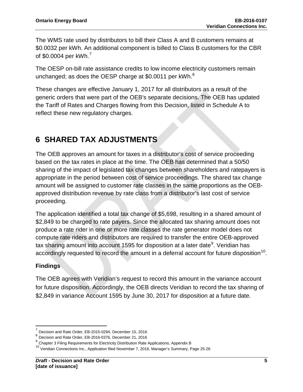The WMS rate used by distributors to bill their Class A and B customers remains at \$0.0032 per kWh. An additional component is billed to Class B customers for the CBR of \$0.0004 per  $kWh.<sup>7</sup>$  $kWh.<sup>7</sup>$  $kWh.<sup>7</sup>$ 

The OESP on-bill rate assistance credits to low income electricity customers remain unchanged; as does the OESP charge at \$0.0011 per kWh. $^8$  $^8$ 

These changes are effective January 1, 2017 for all distributors as a result of the generic orders that were part of the OEB's separate decisions. The OEB has updated the Tariff of Rates and Charges flowing from this Decision, listed in Schedule A to reflect these new regulatory charges.

## **6 SHARED TAX ADJUSTMENTS**

The OEB approves an amount for taxes in a distributor's cost of service proceeding based on the tax rates in place at the time. The OEB has determined that a 50/50 sharing of the impact of legislated tax changes between shareholders and ratepayers is appropriate in the period between cost of service proceedings. The shared tax change amount will be assigned to customer rate classes in the same proportions as the OEBapproved distribution revenue by rate class from a distributor's last cost of service proceeding.

The application identified a total tax change of \$5,698, resulting in a shared amount of \$2,849 to be charged to rate payers. Since the allocated tax sharing amount does not produce a rate rider in one or more rate classes the rate generator model does not compute rate riders and distributors are required to transfer the entire OEB-approved tax sharing amount into account 15[9](#page-5-2)5 for disposition at a later date $^9$ . Veridian has accordingly requested to record the amount in a deferral account for future disposition<sup>[10](#page-5-3)</sup>.

### **Findings**

The OEB agrees with Veridian's request to record this amount in the variance account for future disposition. Accordingly, the OEB directs Veridian to record the tax sharing of \$2,849 in variance Account 1595 by June 30, 2017 for disposition at a future date.

<span id="page-5-0"></span><sup>7</sup> Decision and Rate Order, EB-2015-0294, December 15, 2016

<span id="page-5-1"></span><sup>8</sup> Decision and Rate Order, EB-2016-0376, December 21, 2016

<span id="page-5-2"></span><sup>&</sup>lt;sup>9</sup> Chapter 3 Filing Requirements for Electricity Distribution Rate Applications, Appendix B

<span id="page-5-3"></span><sup>&</sup>lt;sup>10</sup> Veridian Connections Inc., Application filed November 7, 2016, Manager's Summary, Page 25-26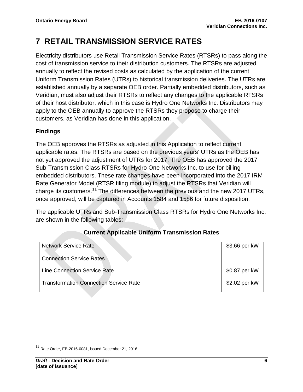## **7 RETAIL TRANSMISSION SERVICE RATES**

Electricity distributors use Retail Transmission Service Rates (RTSRs) to pass along the cost of transmission service to their distribution customers. The RTSRs are adjusted annually to reflect the revised costs as calculated by the application of the current Uniform Transmission Rates (UTRs) to historical transmission deliveries. The UTRs are established annually by a separate OEB order. Partially embedded distributors, such as Veridian, must also adjust their RTSRs to reflect any changes to the applicable RTSRs of their host distributor, which in this case is Hydro One Networks Inc. Distributors may apply to the OEB annually to approve the RTSRs they propose to charge their customers, as Veridian has done in this application.

### **Findings**

The OEB approves the RTSRs as adjusted in this Application to reflect current applicable rates. The RTSRs are based on the previous years' UTRs as the OEB has not yet approved the adjustment of UTRs for 2017. The OEB has approved the 2017 Sub-Transmission Class RTSRs for Hydro One Networks Inc. to use for billing embedded distributors. These rate changes have been incorporated into the 2017 IRM Rate Generator Model (RTSR filing module) to adjust the RTSRs that Veridian will charge its customers.<sup>[11](#page-6-0)</sup> The differences between the previous and the new 2017 UTRs, once approved, will be captured in Accounts 1584 and 1586 for future disposition.

The applicable UTRs and Sub-Transmission Class RTSRs for Hydro One Networks Inc. are shown in the following tables:

| <b>Network Service Rate</b>                   | \$3.66 per kW |
|-----------------------------------------------|---------------|
| <b>Connection Service Rates</b>               |               |
| <b>Line Connection Service Rate</b>           | \$0.87 per kW |
| <b>Transformation Connection Service Rate</b> | \$2.02 per kW |

### **Current Applicable Uniform Transmission Rates**

<span id="page-6-0"></span><sup>11</sup> Rate Order, EB-2016-0081, issued December 21, 2016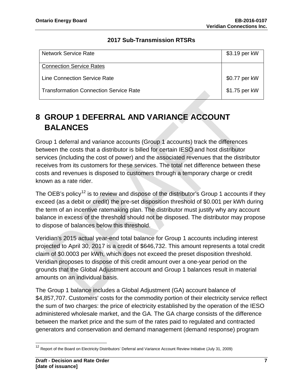### **2017 Sub-Transmission RTSRs**

| <b>Network Service Rate</b>                   | \$3.19 per kW |
|-----------------------------------------------|---------------|
| <b>Connection Service Rates</b>               |               |
| <b>Line Connection Service Rate</b>           | \$0.77 per kW |
| <b>Transformation Connection Service Rate</b> | \$1.75 per kW |

## **8 GROUP 1 DEFERRAL AND VARIANCE ACCOUNT BALANCES**

Group 1 deferral and variance accounts (Group 1 accounts) track the differences between the costs that a distributor is billed for certain IESO and host distributor services (including the cost of power) and the associated revenues that the distributor receives from its customers for these services. The total net difference between these costs and revenues is disposed to customers through a temporary charge or credit known as a rate rider.

The OEB's policy<sup>[12](#page-7-0)</sup> is to review and dispose of the distributor's Group 1 accounts if they exceed (as a debit or credit) the pre-set disposition threshold of \$0.001 per kWh during the term of an incentive ratemaking plan. The distributor must justify why any account balance in excess of the threshold should not be disposed. The distributor may propose to dispose of balances below this threshold.

Veridian's 2015 actual year-end total balance for Group 1 accounts including interest projected to April 30, 2017 is a credit of \$646,732. This amount represents a total credit claim of \$0.0003 per kWh, which does not exceed the preset disposition threshold. Veridian proposes to dispose of this credit amount over a one-year period on the grounds that the Global Adjustment account and Group 1 balances result in material amounts on an individual basis.

The Group 1 balance includes a Global Adjustment (GA) account balance of \$4,857,707. Customers' costs for the commodity portion of their electricity service reflect the sum of two charges: the price of electricity established by the operation of the IESO administered wholesale market, and the GA. The GA charge consists of the difference between the market price and the sum of the rates paid to regulated and contracted generators and conservation and demand management (demand response) program

<span id="page-7-0"></span><sup>&</sup>lt;sup>12</sup> Report of the Board on Electricity Distributors' Deferral and Variance Account Review Initiative (July 31, 2009)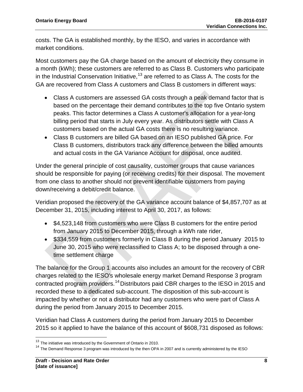costs. The GA is established monthly, by the IESO, and varies in accordance with market conditions.

Most customers pay the GA charge based on the amount of electricity they consume in a month (kWh); these customers are referred to as Class B. Customers who participate in the Industrial Conservation Initiative, $13$  are referred to as Class A. The costs for the GA are recovered from Class A customers and Class B customers in different ways:

- Class A customers are assessed GA costs through a peak demand factor that is based on the percentage their demand contributes to the top five Ontario system peaks. This factor determines a Class A customer's allocation for a year-long billing period that starts in July every year. As distributors settle with Class A customers based on the actual GA costs there is no resulting variance.
- Class B customers are billed GA based on an IESO published GA price. For Class B customers, distributors track any difference between the billed amounts and actual costs in the GA Variance Account for disposal, once audited.

Under the general principle of cost causality, customer groups that cause variances should be responsible for paying (or receiving credits) for their disposal. The movement from one class to another should not prevent identifiable customers from paying down/receiving a debit/credit balance.

Veridian proposed the recovery of the GA variance account balance of \$4,857,707 as at December 31, 2015, including interest to April 30, 2017, as follows:

- \$4,523,148 from customers who were Class B customers for the entire period from January 2015 to December 2015, through a kWh rate rider,
- \$334,559 from customers formerly in Class B during the period January 2015 to June 30, 2015 who were reclassified to Class A; to be disposed through a onetime settlement charge

The balance for the Group 1 accounts also includes an amount for the recovery of CBR charges related to the IESO's wholesale energy market Demand Response 3 program contracted program providers.<sup>[14](#page-8-1)</sup> Distributors paid CBR charges to the IESO in 2015 and recorded these to a dedicated sub-account. The disposition of this sub-account is impacted by whether or not a distributor had any customers who were part of Class A during the period from January 2015 to December 2015.

Veridian had Class A customers during the period from January 2015 to December 2015 so it applied to have the balance of this account of \$608,731 disposed as follows:

<span id="page-8-0"></span><sup>&</sup>lt;sup>13</sup> The initiative was introduced by the Government of Ontario in 2010.

<span id="page-8-1"></span><sup>&</sup>lt;sup>14</sup> The Demand Response 3 program was introduced by the then OPA in 2007 and is currently administered by the IESO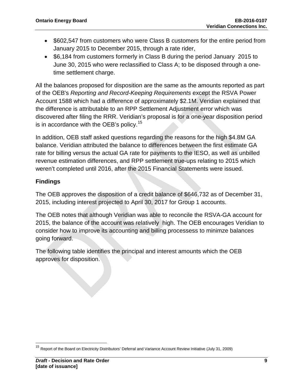- \$602,547 from customers who were Class B customers for the entire period from January 2015 to December 2015, through a rate rider,
- \$6,184 from customers formerly in Class B during the period January 2015 to June 30, 2015 who were reclassified to Class A; to be disposed through a onetime settlement charge.

All the balances proposed for disposition are the same as the amounts reported as part of the OEB's *Reporting and Record-Keeping Requirements* except the RSVA Power Account 1588 which had a difference of approximately \$2.1M. Veridian explained that the difference is attributable to an RPP Settlement Adjustment error which was discovered after filing the RRR. Veridian's proposal is for a one-year disposition period is in accordance with the OEB's policy. $^{15}$  $^{15}$  $^{15}$ 

In addition, OEB staff asked questions regarding the reasons for the high \$4.8M GA balance. Veridian attributed the balance to differences between the first estimate GA rate for billing versus the actual GA rate for payments to the IESO, as well as unbilled revenue estimation differences, and RPP settlement true-ups relating to 2015 which weren't completed until 2016, after the 2015 Financial Statements were issued.

### **Findings**

The OEB approves the disposition of a credit balance of \$646,732 as of December 31, 2015, including interest projected to April 30, 2017 for Group 1 accounts.

The OEB notes that although Veridian was able to reconcile the RSVA-GA account for 2015, the balance of the account was relatively high. The OEB encourages Veridian to consider how to improve its accounting and billing processess to minimze balances going forward.

The following table identifies the principal and interest amounts which the OEB approves for disposition.

<span id="page-9-0"></span><sup>&</sup>lt;sup>15</sup> Report of the Board on Electricity Distributors' Deferral and Variance Account Review Initiative (July 31, 2009)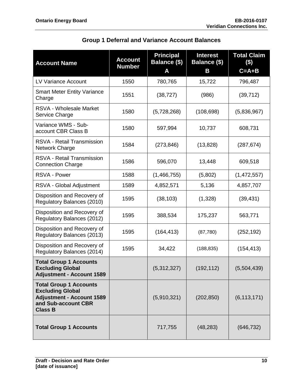| <b>Group 1 Deferral and Variance Account Balances</b> |  |  |
|-------------------------------------------------------|--|--|
|                                                       |  |  |

| <b>Account Name</b>                                                                                                                   | <b>Account</b><br><b>Number</b> | <b>Principal</b><br>Balance (\$)<br>Α | <b>Interest</b><br>Balance (\$)<br>B | <b>Total Claim</b><br>$($)$<br>$C = A + B$ |
|---------------------------------------------------------------------------------------------------------------------------------------|---------------------------------|---------------------------------------|--------------------------------------|--------------------------------------------|
| <b>LV Variance Account</b>                                                                                                            | 1550                            | 780,765                               | 15,722                               | 796,487                                    |
| <b>Smart Meter Entity Variance</b><br>Charge                                                                                          | 1551                            | (38, 727)                             | (986)                                | (39, 712)                                  |
| RSVA - Wholesale Market<br>Service Charge                                                                                             | 1580                            | (5,728,268)                           | (108, 698)                           | (5,836,967)                                |
| Variance WMS - Sub-<br>account CBR Class B                                                                                            | 1580                            | 597,994                               | 10,737                               | 608,731                                    |
| RSVA - Retail Transmission<br>Network Charge                                                                                          | 1584                            | (273, 846)                            | (13, 828)                            | (287, 674)                                 |
| RSVA - Retail Transmission<br><b>Connection Charge</b>                                                                                | 1586                            | 596,070                               | 13,448                               | 609,518                                    |
| <b>RSVA - Power</b>                                                                                                                   | 1588                            | (1,466,755)                           | (5,802)                              | (1,472,557)                                |
| RSVA - Global Adjustment                                                                                                              | 1589                            | 4,852,571                             | 5,136                                | 4,857,707                                  |
| Disposition and Recovery of<br>Regulatory Balances (2010)                                                                             | 1595                            | (38, 103)                             | (1,328)                              | (39, 431)                                  |
| Disposition and Recovery of<br>Regulatory Balances (2012)                                                                             | 1595                            | 388,534                               | 175,237                              | 563,771                                    |
| Disposition and Recovery of<br>Regulatory Balances (2013)                                                                             | 1595                            | (164, 413)                            | (87, 780)                            | (252, 192)                                 |
| Disposition and Recovery of<br>Regulatory Balances (2014)                                                                             | 1595                            | 34,422                                | (188, 835)                           | (154, 413)                                 |
| <b>Total Group 1 Accounts</b><br><b>Excluding Global</b><br><b>Adjustment - Account 1589</b>                                          |                                 | (5,312,327)                           | (192, 112)                           | (5,504,439)                                |
| <b>Total Group 1 Accounts</b><br><b>Excluding Global</b><br><b>Adjustment - Account 1589</b><br>and Sub-account CBR<br><b>Class B</b> |                                 | (5,910,321)                           | (202, 850)                           | (6, 113, 171)                              |
| <b>Total Group 1 Accounts</b>                                                                                                         |                                 | 717,755                               | (48, 283)                            | (646, 732)                                 |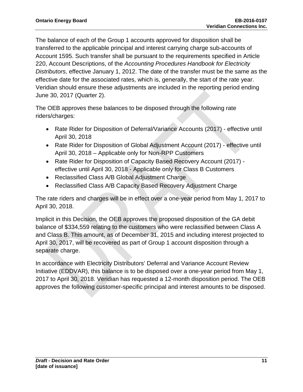The balance of each of the Group 1 accounts approved for disposition shall be transferred to the applicable principal and interest carrying charge sub-accounts of Account 1595. Such transfer shall be pursuant to the requirements specified in Article 220, Account Descriptions, of the *Accounting Procedures Handbook for Electricity Distributors,* effective January 1, 2012. The date of the transfer must be the same as the effective date for the associated rates, which is, generally, the start of the rate year. Veridian should ensure these adjustments are included in the reporting period ending June 30, 2017 (Quarter 2).

The OEB approves these balances to be disposed through the following rate riders/charges:

- Rate Rider for Disposition of Deferral/Variance Accounts (2017) effective until April 30, 2018
- Rate Rider for Disposition of Global Adjustment Account (2017) effective until April 30, 2018 – Applicable only for Non-RPP Customers
- Rate Rider for Disposition of Capacity Based Recovery Account (2017) effective until April 30, 2018 - Applicable only for Class B Customers
- Reclassified Class A/B Global Adjustment Charge
- Reclassified Class A/B Capacity Based Recovery Adjustment Charge

The rate riders and charges will be in effect over a one-year period from May 1, 2017 to April 30, 2018.

Implicit in this Decision, the OEB approves the proposed disposition of the GA debit balance of \$334,559 relating to the customers who were reclassified between Class A and Class B. This amount, as of December 31, 2015 and including interest projected to April 30, 2017, will be recovered as part of Group 1 account disposition through a separate charge.

In accordance with Electricity Distributors' Deferral and Variance Account Review Initiative (EDDVAR), this balance is to be disposed over a one-year period from May 1, 2017 to April 30, 2018. Veridian has requested a 12-month disposition period. The OEB approves the following customer-specific principal and interest amounts to be disposed.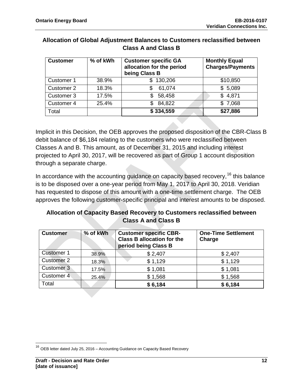| <b>Customer</b> | % of kWh | <b>Customer specific GA</b><br>allocation for the period<br>being Class B | <b>Monthly Equal</b><br><b>Charges/Payments</b> |
|-----------------|----------|---------------------------------------------------------------------------|-------------------------------------------------|
| Customer 1      | 38.9%    | \$130,206                                                                 | \$10,850                                        |
| Customer 2      | 18.3%    | 61,074<br>S                                                               | \$5,089                                         |
| Customer 3      | 17.5%    | 58,458<br>S.                                                              | \$4,871                                         |
| Customer 4      | 25.4%    | 84,822<br>£.                                                              | \$7,068                                         |
| Total           |          | \$334,559                                                                 | \$27,886                                        |

### **Allocation of Global Adjustment Balances to Customers reclassified between Class A and Class B**

Implicit in this Decision, the OEB approves the proposed disposition of the CBR-Class B debit balance of \$6,184 relating to the customers who were reclassified between Classes A and B. This amount, as of December 31, 2015 and including interest projected to April 30, 2017, will be recovered as part of Group 1 account disposition through a separate charge.

In accordance with the accounting guidance on capacity based recovery, <sup>[16](#page-12-0)</sup> this balance is to be disposed over a one-year period from May 1, 2017 to April 30, 2018. Veridian has requested to dispose of this amount with a one-time settlement charge. The OEB approves the following customer-specific principal and interest amounts to be disposed.

### **Allocation of Capacity Based Recovery to Customers reclassified between Class A and Class B**

| <b>Customer</b>   | % of kWh | <b>Customer specific CBR-</b><br><b>Class B allocation for the</b><br>period being Class B | <b>One-Time Settlement</b><br>Charge |
|-------------------|----------|--------------------------------------------------------------------------------------------|--------------------------------------|
| <b>Customer 1</b> | 38.9%    | \$2,407                                                                                    | \$2,407                              |
| <b>Customer 2</b> | 18.3%    | \$1,129                                                                                    | \$1,129                              |
| Customer 3        | 17.5%    | \$1,081                                                                                    | \$1,081                              |
| Customer 4        | 25.4%    | \$1,568                                                                                    | \$1,568                              |
| Total             |          | \$6,184                                                                                    | \$6,184                              |

<span id="page-12-0"></span> $16$  OEB letter dated July 25, 2016 – Accounting Guidance on Capacity Based Recovery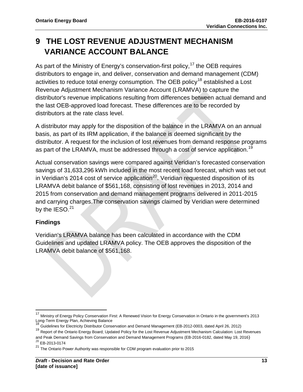## **9 THE LOST REVENUE ADJUSTMENT MECHANISM VARIANCE ACCOUNT BALANCE**

As part of the Ministry of Energy's conservation-first policy,<sup>[17](#page-13-0)</sup> the OEB requires distributors to engage in, and deliver, conservation and demand management (CDM) activities to reduce total energy consumption. The OEB policy<sup>[18](#page-13-1)</sup> established a Lost Revenue Adjustment Mechanism Variance Account (LRAMVA) to capture the distributor's revenue implications resulting from differences between actual demand and the last OEB-approved load forecast. These differences are to be recorded by distributors at the rate class level.

A distributor may apply for the disposition of the balance in the LRAMVA on an annual basis, as part of its IRM application, if the balance is deemed significant by the distributor. A request for the inclusion of lost revenues from demand response programs as part of the LRAMVA, must be addressed through a cost of service application.<sup>[19](#page-13-2)</sup>

Actual conservation savings were compared against Veridian's forecasted conservation savings of 31,633,296 kWh included in the most recent load forecast, which was set out in Veridian's 2014 cost of service application<sup>20</sup>. Veridian requested disposition of its LRAMVA debit balance of \$561,168, consisting of lost revenues in 2013, 2014 and 2015 from conservation and demand management programs delivered in 2011-2015 and carrying charges.The conservation savings claimed by Veridian were determined by the  $IESO.<sup>21</sup>$  $IESO.<sup>21</sup>$  $IESO.<sup>21</sup>$ 

### **Findings**

Veridian's LRAMVA balance has been calculated in accordance with the CDM Guidelines and updated LRAMVA policy. The OEB approves the disposition of the LRAMVA debit balance of \$561,168.

<span id="page-13-0"></span><sup>&</sup>lt;sup>17</sup> Ministry of Energy Policy Conservation First: A Renewed Vision for Energy Conservation in Ontario in the government's 2013 Long-Term Energy Plan, Achieving Balance<br><sup>18</sup> Guidelines for Electricity Distributor Conservation and Demand Management (EB-2012-0003, dated April 26, 2012)

<span id="page-13-2"></span><span id="page-13-1"></span><sup>&</sup>lt;sup>19</sup> Report of the Ontario Energy Board; Updated Policy for the Lost Revenue Adjustment Mechanism Calculation: Lost Revenues and Peak Demand Savings from Conservation and Demand Management Programs (EB-2016-0182, dated May 19, 2016)<br><sup>20</sup> EB-2013-0174

<span id="page-13-4"></span><span id="page-13-3"></span> $21$  The Ontario Power Authority was responsible for CDM program evaluation prior to 2015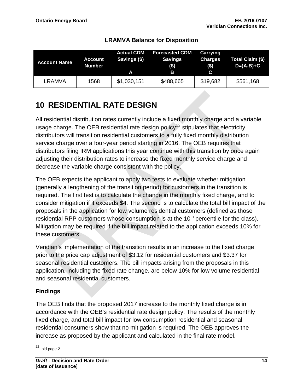| <b>Account Name</b> | <b>Account</b><br><b>Number</b> | <b>Actual CDM</b><br>Savings (\$)<br>A | <b>Forecasted CDM</b><br><b>Savings</b><br>$($ \$)<br>B | Carrying<br><b>Charges</b><br>$($)$<br>C | Total Claim (\$)<br>$D=(A-B)+C$ |
|---------------------|---------------------------------|----------------------------------------|---------------------------------------------------------|------------------------------------------|---------------------------------|
| LRAMVA              | 1568                            | \$1,030,151                            | \$488,665                                               | \$19,682                                 | \$561,168                       |

### **LRAMVA Balance for Disposition**

## **10 RESIDENTIAL RATE DESIGN**

All residential distribution rates currently include a fixed monthly charge and a variable usage charge. The OEB residential rate design policy<sup>[22](#page-14-0)</sup> stipulates that electricity distributors will transition residential customers to a fully fixed monthly distribution service charge over a four-year period starting in 2016. The OEB requires that distributors filing IRM applications this year continue with this transition by once again adjusting their distribution rates to increase the fixed monthly service charge and decrease the variable charge consistent with the policy.

The OEB expects the applicant to apply two tests to evaluate whether mitigation (generally a lengthening of the transition period) for customers in the transition is required. The first test is to calculate the change in the monthly fixed charge, and to consider mitigation if it exceeds \$4. The second is to calculate the total bill impact of the proposals in the application for low volume residential customers (defined as those residential RPP customers whose consumption is at the  $10<sup>th</sup>$  percentile for the class). Mitigation may be required if the bill impact related to the application exceeds 10% for these customers.

Veridian's implementation of the transition results in an increase to the fixed charge prior to the price cap adjustment of \$3.12 for residential customers and \$3.37 for seasonal residential customers. The bill impacts arising from the proposals in this application, including the fixed rate change, are below 10% for low volume residential and seasonal residential customers.

### **Findings**

The OEB finds that the proposed 2017 increase to the monthly fixed charge is in accordance with the OEB's residential rate design policy. The results of the monthly fixed charge, and total bill impact for low consumption residential and seasonal residential consumers show that no mitigation is required. The OEB approves the increase as proposed by the applicant and calculated in the final rate model.

<span id="page-14-0"></span><sup>22</sup> Ibid page 2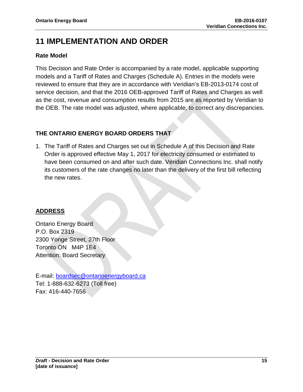## **11 IMPLEMENTATION AND ORDER**

### **Rate Model**

This Decision and Rate Order is accompanied by a rate model, applicable supporting models and a Tariff of Rates and Charges (Schedule A). Entries in the models were reviewed to ensure that they are in accordance with Veridian's EB-2013-0174 cost of service decision, and that the 2016 OEB-approved Tariff of Rates and Charges as well as the cost, revenue and consumption results from 2015 are as reported by Veridian to the OEB. The rate model was adjusted, where applicable, to correct any discrepancies.

## **THE ONTARIO ENERGY BOARD ORDERS THAT**

1. The Tariff of Rates and Charges set out in Schedule A of this Decision and Rate Order is approved effective May 1, 2017 for electricity consumed or estimated to have been consumed on and after such date. Veridian Connections Inc. shall notify its customers of the rate changes no later than the delivery of the first bill reflecting the new rates.

### **ADDRESS**

Ontario Energy Board P.O. Box 2319 2300 Yonge Street, 27th Floor Toronto ON M4P 1E4 Attention: Board Secretary

E-mail: [boardsec@ontarioenergyboard.ca](mailto:boardsec@ontarioenergyboard.ca) Tel: 1-888-632-6273 (Toll free) Fax: 416-440-7656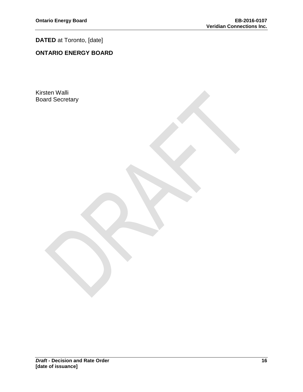### **DATED** at Toronto, [date]

## **ONTARIO ENERGY BOARD**

Kirsten Walli Board Secretary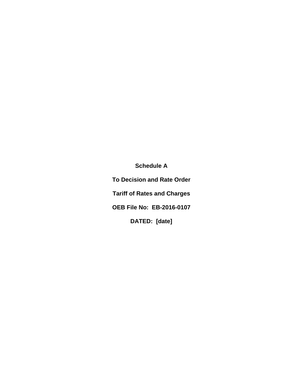**Schedule A**

**To Decision and Rate Order Tariff of Rates and Charges OEB File No: EB-2016-0107 DATED: [date]**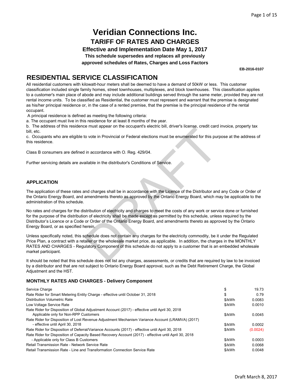**Effective and Implementation Date May 1, 2017**

**This schedule supersedes and replaces all previously**

**approved schedules of Rates, Charges and Loss Factors**

**EB-2016-0107**

### **RESIDENTIAL SERVICE CLASSIFICATION**

All residential customers with kilowatt-hour meters shall be deemed to have a demand of 50kW or less. This customer classification included single family homes, street townhouses, multiplexes, and block townhouses. This classification applies to a customer's main place of abode and may include additional buildings served through the same meter, provided they are not rental income units. To be classified as Residential, the customer must represent and warrant that the premise is designated as his/her principal residence or, in the case of a rented premise, that the premise is the principal residence of the rental occupant.

A principal residence is defined as meeting the following criteria:

a. The occupant must live in this residence for at least 8 months of the year.

b. The address of this residence must appear on the occupant's electric bill, driver's license, credit card invoice, property tax bill, etc.

c. Occupants who are eligible to vote in Provincial or Federal elections must be enumerated for this purpose at the address of this residence.

Class B consumers are defined in accordance with O. Reg. 429/04.

Further servicing details are available in the distributor's Conditions of Service.

#### **APPLICATION**

The application of these rates and charges shall be in accordance with the Licence of the Distributor and any Code or Order of the Ontario Energy Board, and amendments thereto as approved by the Ontario Energy Board, which may be applicable to the administration of this schedule.

No rates and charges for the distribution of electricity and charges to meet the costs of any work or service done or furnished for the purpose of the distribution of electricity shall be made except as permitted by this schedule, unless required by the Distributor's Licence or a Code or Order of the Ontario Energy Board, and amendments thereto as approved by the Ontario Energy Board, or as specified herein.

Unless specifically noted, this schedule does not contain any charges for the electricity commodity, be it under the Regulated Price Plan, a contract with a retailer or the wholesale market price, as applicable. In addition, the charges in the MONTHLY RATES AND CHARGES - Regulatory Component of this schedule do not apply to a customer that is an embedded wholesale market participant. to make inprovincial or Federal elections must be enumerated for this pure<br>in accordance with O. Reg. 429/04.<br>ailable in the distributor's Conditions of Service.<br>ailable in the distributor's Conditions of Service.<br>And char

It should be noted that this schedule does not list any charges, assessments, or credits that are required by law to be invoiced by a distributor and that are not subject to Ontario Energy Board approval, such as the Debt Retirement Charge, the Global Adjustment and the HST.

| Service Charge                                                                                        | \$     | 19.73    |
|-------------------------------------------------------------------------------------------------------|--------|----------|
| Rate Rider for Smart Metering Entity Charge - effective until October 31, 2018                        | \$     | 0.79     |
| Distribution Volumetric Rate                                                                          | \$/kWh | 0.0083   |
| Low Voltage Service Rate                                                                              | \$/kWh | 0.0010   |
| Rate Rider for Disposition of Global Adjustment Account (2017) - effective until April 30, 2018       |        |          |
| Applicable only for Non-RPP Customers                                                                 | \$/kWh | 0.0045   |
| Rate Rider for Disposition of Lost Revenue Adjustment Mechanism Variance Account (LRAMVA) (2017)      |        |          |
| - effective until April 30, 2018                                                                      | \$/kWh | 0.0002   |
| Rate Rider for Disposition of Deferral/Variance Accounts (2017) - effective until April 30, 2018      | \$/kWh | (0.0024) |
| Rate Rider for Disposition of Capacity Based Recovery Account (2017) - effective until April 30, 2018 |        |          |
| - Applicable only for Class B Customers                                                               | \$/kWh | 0.0003   |
| Retail Transmission Rate - Network Service Rate                                                       | \$/kWh | 0.0068   |
| Retail Transmission Rate - Line and Transformation Connection Service Rate                            | \$/kWh | 0.0048   |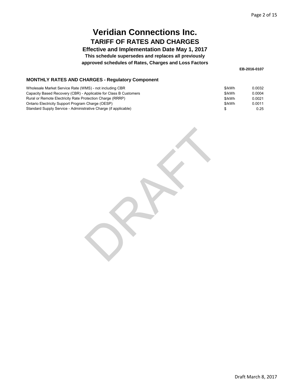**Effective and Implementation Date May 1, 2017**

**This schedule supersedes and replaces all previously**

**approved schedules of Rates, Charges and Loss Factors**

**EB-2016-0107**

#### **MONTHLY RATES AND CHARGES - Regulatory Component**

| Wholesale Market Service Rate (WMS) - not including CBR          | \$/kWh | 0.0032 |
|------------------------------------------------------------------|--------|--------|
| Capacity Based Recovery (CBR) - Applicable for Class B Customers | \$/kWh | 0.0004 |
| Rural or Remote Electricity Rate Protection Charge (RRRP)        | \$/kWh | 0.0021 |
| Ontario Electricity Support Program Charge (OESP)                | \$/kWh | 0.0011 |
| Standard Supply Service - Administrative Charge (if applicable)  |        | 0.25   |

RAFT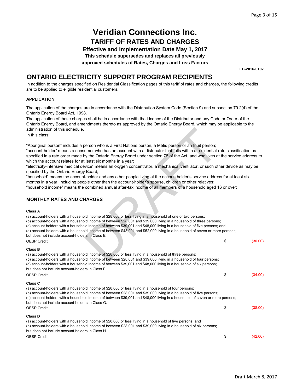**Effective and Implementation Date May 1, 2017**

**This schedule supersedes and replaces all previously**

**approved schedules of Rates, Charges and Loss Factors**

**EB-2016-0107**

### **ONTARIO ELECTRICITY SUPPORT PROGRAM RECIPIENTS**

In addition to the charges specified on Residential Classification pages of this tariff of rates and charges, the following credits are to be applied to eligible residential customers.

#### **APPLICATION**

The application of the charges are in accordance with the Distribution System Code (Section 9) and subsection 79.2(4) of the Ontario Energy Board Act, 1998.

The application of these charges shall be in accordance with the Licence of the Distributor and any Code or Order of the Ontario Energy Board, and amendments thereto as approved by the Ontario Energy Board, which may be applicable to the administration of this schedule.

#### **MONTHLY RATES AND CHARGES**

#### **Class A**

| administration of this schedule.                                                                                                                                                                                                                                                                                                                                                                                                                                                                                                                                                                                                                                                                                                                                                                                                                                                                                                                                              |               |
|-------------------------------------------------------------------------------------------------------------------------------------------------------------------------------------------------------------------------------------------------------------------------------------------------------------------------------------------------------------------------------------------------------------------------------------------------------------------------------------------------------------------------------------------------------------------------------------------------------------------------------------------------------------------------------------------------------------------------------------------------------------------------------------------------------------------------------------------------------------------------------------------------------------------------------------------------------------------------------|---------------|
| In this class:                                                                                                                                                                                                                                                                                                                                                                                                                                                                                                                                                                                                                                                                                                                                                                                                                                                                                                                                                                |               |
| "Aboriginal person" includes a person who is a First Nations person, a Métis person or an Inuit person;<br>"account-holder" means a consumer who has an account with a distributor that falls within a residential-rate classification as<br>specified in a rate order made by the Ontario Energy Board under section 78 of the Act, and who lives at the service address to<br>which the account relates for at least six months in a year;<br>"electricity-intensive medical device" means an oxygen concentrator, a mechanical ventilator, or such other device as may be<br>specified by the Ontario Energy Board;<br>"household" means the account-holder and any other people living at the accountholder's service address for at least six<br>months in a year, including people other than the account-holder's spouse, children or other relatives;<br>"household income" means the combined annual after-tax income of all members of a household aged 16 or over; |               |
| <b>MONTHLY RATES AND CHARGES</b>                                                                                                                                                                                                                                                                                                                                                                                                                                                                                                                                                                                                                                                                                                                                                                                                                                                                                                                                              |               |
| <b>Class A</b><br>(a) account-holders with a household income of \$28,000 or less living in a household of one or two persons;<br>(b) account-holders with a household income of between \$28,001 and \$39,000 living in a household of three persons;<br>(c) account-holders with a household income of between \$39,001 and \$48,000 living in a household of five persons; and<br>(d) account-holders with a household income of between \$48,001 and \$52,000 living in a household of seven or more persons;<br>but does not include account-holders in Class E.                                                                                                                                                                                                                                                                                                                                                                                                         |               |
| <b>OESP Credit</b>                                                                                                                                                                                                                                                                                                                                                                                                                                                                                                                                                                                                                                                                                                                                                                                                                                                                                                                                                            | \$<br>(30.00) |
| <b>Class B</b><br>(a) account-holders with a household income of \$28,000 or less living in a household of three persons;<br>(b) account-holders with a household income of between \$28,001 and \$39,000 living in a household of four persons;<br>(c) account-holders with a household income of between \$39,001 and \$48,000 living in a household of six persons;<br>but does not include account-holders in Class F.<br><b>OESP Credit</b>                                                                                                                                                                                                                                                                                                                                                                                                                                                                                                                              | \$<br>(34.00) |
| Class C<br>(a) account-holders with a household income of \$28,000 or less living in a household of four persons;<br>(b) account-holders with a household income of between \$28,001 and \$39,000 living in a household of five persons;<br>(c) account-holders with a household income of between \$39,001 and \$48,000 living in a household of seven or more persons;<br>but does not include account-holders in Class G.<br><b>OESP Credit</b>                                                                                                                                                                                                                                                                                                                                                                                                                                                                                                                            | \$<br>(38.00) |
| <b>Class D</b>                                                                                                                                                                                                                                                                                                                                                                                                                                                                                                                                                                                                                                                                                                                                                                                                                                                                                                                                                                |               |
| (a) account-holders with a household income of \$28,000 or less living in a household of five persons; and<br>(b) account-holders with a household income of between \$28,001 and \$39,000 living in a household of six persons;<br>but does not include account-holders in Class H.                                                                                                                                                                                                                                                                                                                                                                                                                                                                                                                                                                                                                                                                                          |               |
| <b>OESP Credit</b>                                                                                                                                                                                                                                                                                                                                                                                                                                                                                                                                                                                                                                                                                                                                                                                                                                                                                                                                                            | \$<br>(42.00) |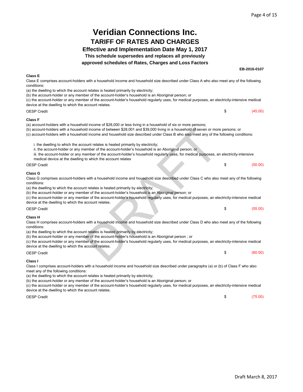**EB-2016-0107**

## **Veridian Connections Inc. TARIFF OF RATES AND CHARGES**

### **Effective and Implementation Date May 1, 2017**

**This schedule supersedes and replaces all previously**

**approved schedules of Rates, Charges and Loss Factors**

| <b>Class E</b><br>Class E comprises account-holders with a household income and household size described under Class A who also meet any of the following<br>conditions:<br>(a) the dwelling to which the account relates is heated primarily by electricity;<br>(b) the account-holder or any member of the account-holder's household is an Aboriginal person; or<br>(c) the account-holder or any member of the account-holder's household regularly uses, for medical purposes, an electricity-intensive medical<br>device at the dwelling to which the account relates.                       |                                       |         |
|----------------------------------------------------------------------------------------------------------------------------------------------------------------------------------------------------------------------------------------------------------------------------------------------------------------------------------------------------------------------------------------------------------------------------------------------------------------------------------------------------------------------------------------------------------------------------------------------------|---------------------------------------|---------|
| <b>OESP Credit</b>                                                                                                                                                                                                                                                                                                                                                                                                                                                                                                                                                                                 | \$                                    | (45.00) |
| <b>Class F</b><br>(a) account-holders with a household income of \$28,000 or less living in a household of six or more persons;<br>(b) account-holders with a household income of between \$28,001 and \$39,000 living in a household of seven or more persons; or<br>(c) account-holders with a household income and household size described under Class B who also meet any of the following conditions:                                                                                                                                                                                        |                                       |         |
| i. the dwelling to which the account relates is heated primarily by electricity;<br>ii. the account-holder or any member of the account-holder's household is an Aboriginal person; or<br>iii. the account-holder or any member of the account-holder's household regularly uses, for medical purposes, an electricity-intensive<br>medical device at the dwelling to which the account relates                                                                                                                                                                                                    |                                       |         |
| OESP Credit                                                                                                                                                                                                                                                                                                                                                                                                                                                                                                                                                                                        | \$                                    | (50.00) |
| <b>Class G</b><br>Class G comprises account-holders with a household income and household size described under Class C who also meet any of the following<br>conditions:<br>(a) the dwelling to which the account relates is heated primarily by electricity;<br>(b) the account-holder or any member of the account-holder's household is an Aboriginal person; or<br>(c) the account-holder or any member of the account-holder's household regularly uses, for medical purposes, an electricity-intensive medical<br>device at the dwelling to which the account relates.                       |                                       |         |
| <b>OESP Credit</b>                                                                                                                                                                                                                                                                                                                                                                                                                                                                                                                                                                                 | \$                                    | (55.00) |
| <b>Class H</b><br>Class H comprises account-holders with a household income and household size described under Class D who also meet any of the following<br>conditions:<br>(a) the dwelling to which the account relates is heated primarily by electricity;<br>(b) the account-holder or any member of the account-holder's household is an Aboriginal person; or<br>(c) the account-holder or any member of the account-holder's household regularly uses, for medical purposes, an electricity-intensive medical<br>device at the dwelling to which the account relates.<br><b>OESP Credit</b> | \$                                    | (60.00) |
| Class I<br>Class I comprises account-holders with a household income and household size described under paragraphs (a) or (b) of Class F who also<br>meet any of the following conditions:<br>(a) the dwelling to which the account relates is heated primarily by electricity;<br>(b) the account-holder or any member of the account-holder's household is an Aboriginal person; or<br>اموزادهمو موالمومين بالرمان بموم اداموا ومربوط واحوالهما فسيموهم وطفائه موطوده متموس بمواديها فسيوموهم                                                                                                    | susanan on alantain: intensius madisa |         |

(c) the account-holder or any member of the account-holder's household regularly uses, for medical purposes, an electricity-intensive medical device at the dwelling to which the account relates.

OESP Credit

 $$$  (75.00)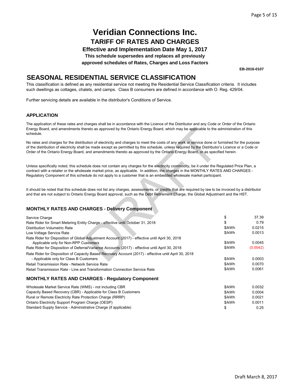**Effective and Implementation Date May 1, 2017**

**This schedule supersedes and replaces all previously**

**approved schedules of Rates, Charges and Loss Factors**

**EB-2016-0107**

### **SEASONAL RESIDENTIAL SERVICE CLASSIFICATION**

This classification is defined as any residential service not meeting the Residential Service Classification criteria. It includes such dwellings as cottages, chalets, and camps. Class B consumers are defined in accordance with O. Reg. 429/04.

Further servicing details are available in the distributor's Conditions of Service.

#### **APPLICATION**

The application of these rates and charges shall be in accordance with the Licence of the Distributor and any Code or Order of the Ontario Energy Board, and amendments thereto as approved by the Ontario Energy Board, which may be applicable to the administration of this schedule.

#### **MONTHLY RATES AND CHARGES - Delivery Component**

| Energy Board, and amendments thereto as approved by the Ontario Energy Board, which may be applicable to the administration of this<br>schedule.                                                                                                                                                                                                                                                                                  |        |          |
|-----------------------------------------------------------------------------------------------------------------------------------------------------------------------------------------------------------------------------------------------------------------------------------------------------------------------------------------------------------------------------------------------------------------------------------|--------|----------|
| No rates and charges for the distribution of electricity and charges to meet the costs of any work or service done or furnished for the purpose<br>of the distribution of electricity shall be made except as permitted by this schedule, unless required by the Distributor's Licence or a Code or<br>Order of the Ontario Energy Board, and amendments thereto as approved by the Ontario Energy Board, or as specified herein. |        |          |
| Unless specifically noted, this schedule does not contain any charges for the electricity commodity, be it under the Regulated Price Plan, a<br>contract with a retailer or the wholesale market price, as applicable. In addition, the charges in the MONTHLY RATES AND CHARGES -<br>Regulatory Component of this schedule do not apply to a customer that is an embedded wholesale market participant.                          |        |          |
| It should be noted that this schedule does not list any charges, assessments, or credits that are required by law to be invoiced by a distributor<br>and that are not subject to Ontario Energy Board approval, such as the Debt Retirement Charge, the Global Adjustment and the HST.                                                                                                                                            |        |          |
| <b>MONTHLY RATES AND CHARGES - Delivery Component</b>                                                                                                                                                                                                                                                                                                                                                                             |        |          |
| Service Charge                                                                                                                                                                                                                                                                                                                                                                                                                    | \$     | 37.39    |
| Rate Rider for Smart Metering Entity Charge - effective until October 31, 2018                                                                                                                                                                                                                                                                                                                                                    | \$     | 0.79     |
| <b>Distribution Volumetric Rate</b>                                                                                                                                                                                                                                                                                                                                                                                               | \$/kWh | 0.0215   |
| Low Voltage Service Rate                                                                                                                                                                                                                                                                                                                                                                                                          | \$/kWh | 0.0013   |
| Rate Rider for Disposition of Global Adjustment Account (2017) - effective until April 30, 2018                                                                                                                                                                                                                                                                                                                                   | \$/kWh | 0.0045   |
| Applicable only for Non-RPP Customers<br>Rate Rider for Disposition of Deferral/Variance Accounts (2017) - effective until April 30, 2018                                                                                                                                                                                                                                                                                         | \$/kWh | (0.0042) |
|                                                                                                                                                                                                                                                                                                                                                                                                                                   |        |          |
| Rate Rider for Disposition of Capacity Based Recovery Account (2017) - effective until April 30, 2018<br>- Applicable only for Class B Customers                                                                                                                                                                                                                                                                                  | \$/kWh | 0.0003   |
| Retail Transmission Rate - Network Service Rate                                                                                                                                                                                                                                                                                                                                                                                   | \$/kWh | 0.0070   |
| Retail Transmission Rate - Line and Transformation Connection Service Rate                                                                                                                                                                                                                                                                                                                                                        | \$/kWh | 0.0061   |
| <b>MONTHLY RATES AND CHARGES - Regulatory Component</b>                                                                                                                                                                                                                                                                                                                                                                           |        |          |
| Wholesale Market Service Rate (WMS) - not including CBR                                                                                                                                                                                                                                                                                                                                                                           | \$/kWh | 0.0032   |
| Capacity Based Recovery (CBR) - Applicable for Class B Customers                                                                                                                                                                                                                                                                                                                                                                  | \$/kWh | 0.0004   |
| Rural or Remote Electricity Rate Protection Charge (RRRP)                                                                                                                                                                                                                                                                                                                                                                         | \$/kWh | 0.0021   |
| Ontario Electricity Support Program Charge (OESP)                                                                                                                                                                                                                                                                                                                                                                                 | \$/kWh | 0.0011   |

Ontario Electricity Support Program Charge (OESP) Standard Supply Service - Administrative Charge (if applicable)

\$ 0.25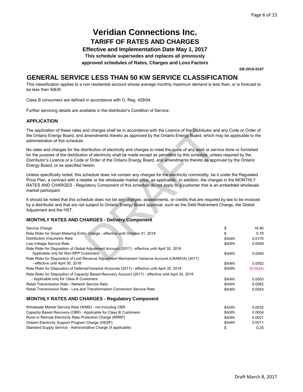**Effective and Implementation Date May 1, 2017**

**This schedule supersedes and replaces all previously**

**approved schedules of Rates, Charges and Loss Factors**

**EB-2016-0107**

### **GENERAL SERVICE LESS THAN 50 KW SERVICE CLASSIFICATION**

This classification applies to a non residential account whose average monthly maximum demand is less than, or is forecast to be less than 50kW.

Class B consumers are defined in accordance with O. Reg. 429/04.

Further servicing details are available in the distributor's Condition of Service.

#### **APPLICATION**

| The application of these rates and charges shall be in accordance with the Licence of the Distributor and any Code or Order of<br>the Ontario Energy Board, and amendments thereto as approved by the Ontario Energy Board, which may be applicable to the<br>administration of this schedule.                                                                                                                                       |        |          |
|--------------------------------------------------------------------------------------------------------------------------------------------------------------------------------------------------------------------------------------------------------------------------------------------------------------------------------------------------------------------------------------------------------------------------------------|--------|----------|
| No rates and charges for the distribution of electricity and charges to meet the costs of any work or service done or furnished<br>for the purpose of the distribution of electricity shall be made except as permitted by this schedule, unless required by the<br>Distributor's Licence or a Code or Order of the Ontario Energy Board, and amendments thereto as approved by the Ontario<br>Energy Board, or as specified herein. |        |          |
| Unless specifically noted, this schedule does not contain any charges for the electricity commodity, be it under the Regulated<br>Price Plan, a contract with a retailer or the wholesale market price, as applicable. In addition, the charges in the MONTHLY<br>RATES AND CHARGES - Regulatory Component of this schedule do not apply to a customer that is an embedded wholesale<br>market participant.                          |        |          |
| It should be noted that this schedule does not list any charges, assessments, or credits that are required by law to be invoiced<br>by a distributor and that are not subject to Ontario Energy Board approval, such as the Debt Retirement Charge, the Global<br>Adjustment and the HST.                                                                                                                                            |        |          |
| <b>MONTHLY RATES AND CHARGES - Delivery Component</b>                                                                                                                                                                                                                                                                                                                                                                                |        |          |
| Service Charge                                                                                                                                                                                                                                                                                                                                                                                                                       | \$     | 16.90    |
| Rate Rider for Smart Metering Entity Charge - effective until October 31, 2018                                                                                                                                                                                                                                                                                                                                                       | \$     | 0.79     |
| Distribution Volumetric Rate                                                                                                                                                                                                                                                                                                                                                                                                         | \$/kWh | 0.0170   |
| Low Voltage Service Rate                                                                                                                                                                                                                                                                                                                                                                                                             | \$/kWh | 0.0009   |
| Rate Rider for Disposition of Global Adjustment Account (2017) - effective until April 30, 2018                                                                                                                                                                                                                                                                                                                                      |        |          |
| Applicable only for Non-RPP Customers                                                                                                                                                                                                                                                                                                                                                                                                | \$/kWh | 0.0045   |
| Rate Rider for Disposition of Lost Revenue Adjustment Mechanism Variance Account (LRAMVA) (2017)<br>- effective until April 30, 2018                                                                                                                                                                                                                                                                                                 | \$/kWh | 0.0002   |
| Rate Rider for Disposition of Deferral/Variance Accounts (2017) - effective until April 30, 2018                                                                                                                                                                                                                                                                                                                                     | \$/kWh | (0.0024) |
| Rate Rider for Disposition of Capacity Based Recovery Account (2017) - effective until April 30, 2018                                                                                                                                                                                                                                                                                                                                |        |          |
| - Applicable only for Class B Customers                                                                                                                                                                                                                                                                                                                                                                                              | \$/kWh | 0.0003   |
| Retail Transmission Rate - Network Service Rate                                                                                                                                                                                                                                                                                                                                                                                      | \$/kWh | 0.0062   |
| Retail Transmission Rate - Line and Transformation Connection Service Rate                                                                                                                                                                                                                                                                                                                                                           | \$/kWh | 0.0043   |
| <b>MONTHLY RATES AND CHARGES - Regulatory Component</b>                                                                                                                                                                                                                                                                                                                                                                              |        |          |
| Wholesale Market Service Rate (WMS) - not including CBR                                                                                                                                                                                                                                                                                                                                                                              | \$/kWh | 0.0032   |
| Capacity Based Recovery (CBR) - Applicable for Class B Customers                                                                                                                                                                                                                                                                                                                                                                     | \$/kWh | 0.0004   |
| Rural or Remote Electricity Rate Protection Charge (RRRP)                                                                                                                                                                                                                                                                                                                                                                            | \$/kWh | 0.0021   |
| Ontario Electricity Support Program Charge (OESP)                                                                                                                                                                                                                                                                                                                                                                                    | \$/kWh | 0.0011   |
| Standard Supply Service - Administrative Charge (if applicable)                                                                                                                                                                                                                                                                                                                                                                      | \$     | 0.25     |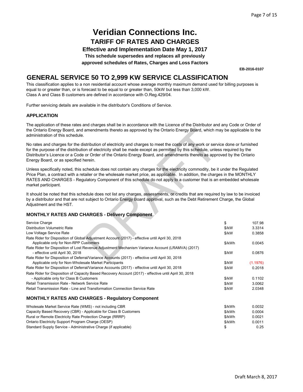**Effective and Implementation Date May 1, 2017**

**This schedule supersedes and replaces all previously**

**approved schedules of Rates, Charges and Loss Factors**

**EB-2016-0107**

### **GENERAL SERVICE 50 TO 2,999 KW SERVICE CLASSIFICATION**

This classification applies to a non residential account whose average monthly maximum demand used for billing purposes is equal to or greater than, or is forecast to be equal to or greater than, 50kW but less than 3,000 kW. Class A and Class B customers are defined in accordance with O.Reg.429/04.

Further servicing details are available in the distributor's Conditions of Service.

#### **APPLICATION**

The application of these rates and charges shall be in accordance with the Licence of the Distributor and any Code or Order of the Ontario Energy Board, and amendments thereto as approved by the Ontario Energy Board, which may be applicable to the administration of this schedule.

| the Ontario Energy Board, and amendments thereto as approved by the Ontario Energy Board, which may be applicable to the<br>administration of this schedule.                                                                                                                                                                                                                                                                         |        |                    |
|--------------------------------------------------------------------------------------------------------------------------------------------------------------------------------------------------------------------------------------------------------------------------------------------------------------------------------------------------------------------------------------------------------------------------------------|--------|--------------------|
| No rates and charges for the distribution of electricity and charges to meet the costs of any work or service done or furnished<br>for the purpose of the distribution of electricity shall be made except as permitted by this schedule, unless required by the<br>Distributor's Licence or a Code or Order of the Ontario Energy Board, and amendments thereto as approved by the Ontario<br>Energy Board, or as specified herein. |        |                    |
| Unless specifically noted, this schedule does not contain any charges for the electricity commodity, be it under the Regulated<br>Price Plan, a contract with a retailer or the wholesale market price, as applicable. In addition, the charges in the MONTHLY<br>RATES AND CHARGES - Regulatory Component of this schedule do not apply to a customer that is an embedded wholesale<br>market participant.                          |        |                    |
| It should be noted that this schedule does not list any charges, assessments, or credits that are required by law to be invoiced<br>by a distributor and that are not subject to Ontario Energy Board approval, such as the Debt Retirement Charge, the Global<br>Adjustment and the HST.                                                                                                                                            |        |                    |
| <b>MONTHLY RATES AND CHARGES - Delivery Component</b>                                                                                                                                                                                                                                                                                                                                                                                |        |                    |
| Service Charge                                                                                                                                                                                                                                                                                                                                                                                                                       | \$     | 107.98             |
| <b>Distribution Volumetric Rate</b>                                                                                                                                                                                                                                                                                                                                                                                                  | \$/kW  | 3.3314             |
| Low Voltage Service Rate                                                                                                                                                                                                                                                                                                                                                                                                             | \$/kW  | 0.3858             |
| Rate Rider for Disposition of Global Adjustment Account (2017) - effective until April 30, 2018                                                                                                                                                                                                                                                                                                                                      |        |                    |
| Applicable only for Non-RPP Customers                                                                                                                                                                                                                                                                                                                                                                                                | \$/kWh | 0.0045             |
| Rate Rider for Disposition of Lost Revenue Adjustment Mechanism Variance Account (LRAMVA) (2017)                                                                                                                                                                                                                                                                                                                                     |        |                    |
| - effective until April 30, 2018                                                                                                                                                                                                                                                                                                                                                                                                     | \$/kW  | 0.0876             |
| Rate Rider for Disposition of Deferral/Variance Accounts (2017) - effective until April 30, 2018<br>Applicable only for Non-Wholesale Market Participants                                                                                                                                                                                                                                                                            | \$/kW  |                    |
| Rate Rider for Disposition of Deferral/Variance Accounts (2017) - effective until April 30, 2018                                                                                                                                                                                                                                                                                                                                     | \$/kW  | (1.1976)<br>0.2018 |
| Rate Rider for Disposition of Capacity Based Recovery Account (2017) - effective until April 30, 2018                                                                                                                                                                                                                                                                                                                                |        |                    |
| - Applicable only for Class B Customers                                                                                                                                                                                                                                                                                                                                                                                              | \$/kW  | 0.1102             |
| Retail Transmission Rate - Network Service Rate                                                                                                                                                                                                                                                                                                                                                                                      | \$/kW  | 3.0062             |
| Retail Transmission Rate - Line and Transformation Connection Service Rate                                                                                                                                                                                                                                                                                                                                                           | \$/kW  | 2.0348             |
| <b>MONTHLY RATES AND CHARGES - Regulatory Component</b>                                                                                                                                                                                                                                                                                                                                                                              |        |                    |
| Wholesale Market Service Rate (WMS) - not including CBR                                                                                                                                                                                                                                                                                                                                                                              | \$/kWh | 0.0032             |
| Capacity Based Recovery (CBR) - Applicable for Class B Customers                                                                                                                                                                                                                                                                                                                                                                     | \$/kWh | 0.0004             |
| Rural or Remote Electricity Rate Protection Charge (RRRP)                                                                                                                                                                                                                                                                                                                                                                            | \$/kWh | 0.0021             |
| Ontario Electricity Support Program Charge (OESP)                                                                                                                                                                                                                                                                                                                                                                                    | \$/kWh | 0.0011             |
| Standard Supply Service - Administrative Charge (if applicable)                                                                                                                                                                                                                                                                                                                                                                      | \$     | 0.25               |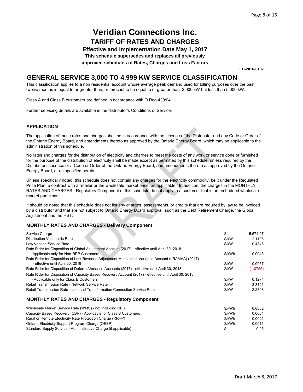**Effective and Implementation Date May 1, 2017**

**This schedule supersedes and replaces all previously**

**approved schedules of Rates, Charges and Loss Factors**

**EB-2016-0107**

### **GENERAL SERVICE 3,000 TO 4,999 KW SERVICE CLASSIFICATION**

This classification applies to a non residential account whose average peak demand used for billing purposes over the past twelve months is equal to or greater than, or forecast to be equal to or greater than, 3,000 kW but less than 5,000 kW.

Class A and Class B customers are defined in accordance with O.Reg.429/04.

Further servicing details are available in the distributor's Conditions of Service.

#### **APPLICATION**

| יוטוואטוב וח                                                                                                                                                                                                                                                                                                                                                                                                                         |        |          |
|--------------------------------------------------------------------------------------------------------------------------------------------------------------------------------------------------------------------------------------------------------------------------------------------------------------------------------------------------------------------------------------------------------------------------------------|--------|----------|
| The application of these rates and charges shall be in accordance with the Licence of the Distributor and any Code or Order of<br>the Ontario Energy Board, and amendments thereto as approved by the Ontario Energy Board, which may be applicable to the<br>administration of this schedule.                                                                                                                                       |        |          |
| No rates and charges for the distribution of electricity and charges to meet the costs of any work or service done or furnished<br>for the purpose of the distribution of electricity shall be made except as permitted by this schedule, unless required by the<br>Distributor's Licence or a Code or Order of the Ontario Energy Board, and amendments thereto as approved by the Ontario<br>Energy Board, or as specified herein. |        |          |
| Unless specifically noted, this schedule does not contain any charges for the electricity commodity, be it under the Regulated<br>Price Plan, a contract with a retailer or the wholesale market price, as applicable. In addition, the charges in the MONTHLY<br>RATES AND CHARGES - Regulatory Component of this schedule do not apply to a customer that is an embedded wholesale<br>market participant.                          |        |          |
| It should be noted that this schedule does not list any charges, assessments, or credits that are required by law to be invoiced<br>by a distributor and that are not subject to Ontario Energy Board approval, such as the Debt Retirement Charge, the Global<br>Adjustment and the HST.                                                                                                                                            |        |          |
| <b>MONTHLY RATES AND CHARGES - Delivery Component</b>                                                                                                                                                                                                                                                                                                                                                                                |        |          |
| Service Charge                                                                                                                                                                                                                                                                                                                                                                                                                       | \$     | 5,674.07 |
| <b>Distribution Volumetric Rate</b>                                                                                                                                                                                                                                                                                                                                                                                                  | \$/kW  | 2.1106   |
| Low Voltage Service Rate                                                                                                                                                                                                                                                                                                                                                                                                             | \$/kW  | 0.4346   |
| Rate Rider for Disposition of Global Adjustment Account (2017) - effective until April 30, 2018                                                                                                                                                                                                                                                                                                                                      |        |          |
| Applicable only for Non-RPP Customers                                                                                                                                                                                                                                                                                                                                                                                                | \$/kWh | 0.0045   |
| Rate Rider for Disposition of Lost Revenue Adjustment Mechanism Variance Account (LRAMVA) (2017)                                                                                                                                                                                                                                                                                                                                     | \$/kW  | 0.0057   |
| - effective until April 30, 2018<br>Rate Rider for Disposition of Deferral/Variance Accounts (2017) - effective until April 30, 2018                                                                                                                                                                                                                                                                                                 | \$/kW  | (1.0755) |
| Rate Rider for Disposition of Capacity Based Recovery Account (2017) - effective until April 30, 2018                                                                                                                                                                                                                                                                                                                                |        |          |
| - Applicable only for Class B Customers                                                                                                                                                                                                                                                                                                                                                                                              | \$/kW  | 0.1274   |
| Retail Transmission Rate - Network Service Rate                                                                                                                                                                                                                                                                                                                                                                                      | \$/kW  | 3.3121   |
| Retail Transmission Rate - Line and Transformation Connection Service Rate                                                                                                                                                                                                                                                                                                                                                           | \$/kW  | 2.2348   |
| <b>MONTHLY RATES AND CHARGES - Regulatory Component</b>                                                                                                                                                                                                                                                                                                                                                                              |        |          |
| Wholesale Market Service Rate (WMS) - not including CBR                                                                                                                                                                                                                                                                                                                                                                              | \$/kWh | 0.0032   |
| Capacity Based Recovery (CBR) - Applicable for Class B Customers                                                                                                                                                                                                                                                                                                                                                                     | \$/kWh | 0.0004   |
| Rural or Remote Electricity Rate Protection Charge (RRRP)                                                                                                                                                                                                                                                                                                                                                                            | \$/kWh | 0.0021   |
| Ontario Electricity Support Program Charge (OESP)                                                                                                                                                                                                                                                                                                                                                                                    | \$/kWh | 0.0011   |
| Standard Supply Service - Administrative Charge (if applicable)                                                                                                                                                                                                                                                                                                                                                                      | \$     | 0.25     |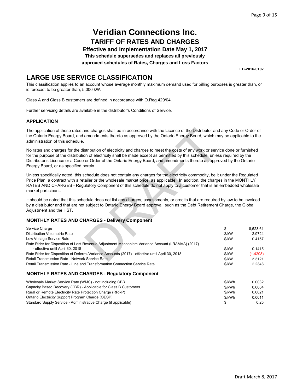**Effective and Implementation Date May 1, 2017**

**This schedule supersedes and replaces all previously**

**approved schedules of Rates, Charges and Loss Factors**

**EB-2016-0107**

### **LARGE USE SERVICE CLASSIFICATION**

This classification applies to an account whose average monthly maximum demand used for billing purposes is greater than, or is forecast to be greater than, 5,000 kW.

Class A and Class B customers are defined in accordance with O.Reg.429/04.

Further servicing details are available in the distributor's Conditions of Service.

#### **APPLICATION**

| The application of these rates and charges shall be in accordance with the Licence of the Distributor and any Code or Order of<br>the Ontario Energy Board, and amendments thereto as approved by the Ontario Energy Board, which may be applicable to the<br>administration of this schedule.                                                                                                                                       |        |          |
|--------------------------------------------------------------------------------------------------------------------------------------------------------------------------------------------------------------------------------------------------------------------------------------------------------------------------------------------------------------------------------------------------------------------------------------|--------|----------|
| No rates and charges for the distribution of electricity and charges to meet the costs of any work or service done or furnished<br>for the purpose of the distribution of electricity shall be made except as permitted by this schedule, unless required by the<br>Distributor's Licence or a Code or Order of the Ontario Energy Board, and amendments thereto as approved by the Ontario<br>Energy Board, or as specified herein. |        |          |
| Unless specifically noted, this schedule does not contain any charges for the electricity commodity, be it under the Regulated<br>Price Plan, a contract with a retailer or the wholesale market price, as applicable. In addition, the charges in the MONTHLY<br>RATES AND CHARGES - Regulatory Component of this schedule do not apply to a customer that is an embedded wholesale<br>market participant.                          |        |          |
| It should be noted that this schedule does not list any charges, assessments, or credits that are required by law to be invoiced<br>by a distributor and that are not subject to Ontario Energy Board approval, such as the Debt Retirement Charge, the Global<br>Adjustment and the HST.                                                                                                                                            |        |          |
| <b>MONTHLY RATES AND CHARGES - Delivery Component</b>                                                                                                                                                                                                                                                                                                                                                                                |        |          |
| Service Charge                                                                                                                                                                                                                                                                                                                                                                                                                       | \$     | 8,523.61 |
| <b>Distribution Volumetric Rate</b>                                                                                                                                                                                                                                                                                                                                                                                                  | \$/kW  | 2.9724   |
| Low Voltage Service Rate                                                                                                                                                                                                                                                                                                                                                                                                             | \$/kW  | 0.4157   |
| Rate Rider for Disposition of Lost Revenue Adjustment Mechanism Variance Account (LRAMVA) (2017)                                                                                                                                                                                                                                                                                                                                     |        |          |
| - effective until April 30, 2018                                                                                                                                                                                                                                                                                                                                                                                                     | \$/kW  | 0.1415   |
| Rate Rider for Disposition of Deferral/Variance Accounts (2017) - effective until April 30, 2018                                                                                                                                                                                                                                                                                                                                     | \$/kW  | (1.4208) |
| Retail Transmission Rate - Network Service Rate                                                                                                                                                                                                                                                                                                                                                                                      | \$/kW  | 3.3121   |
| Retail Transmission Rate - Line and Transformation Connection Service Rate                                                                                                                                                                                                                                                                                                                                                           | \$/kW  | 2.2348   |
| <b>MONTHLY RATES AND CHARGES - Regulatory Component</b>                                                                                                                                                                                                                                                                                                                                                                              |        |          |
| Wholesale Market Service Rate (WMS) - not including CBR                                                                                                                                                                                                                                                                                                                                                                              | \$/kWh | 0.0032   |
| Capacity Based Recovery (CBR) - Applicable for Class B Customers                                                                                                                                                                                                                                                                                                                                                                     | \$/kWh | 0.0004   |
| Rural or Remote Electricity Rate Protection Charge (RRRP)                                                                                                                                                                                                                                                                                                                                                                            | \$/kWh | 0.0021   |
| Ontario Electricity Support Program Charge (OESP)                                                                                                                                                                                                                                                                                                                                                                                    | \$/kWh | 0.0011   |
| Standard Supply Service - Administrative Charge (if applicable)                                                                                                                                                                                                                                                                                                                                                                      | \$     | 0.25     |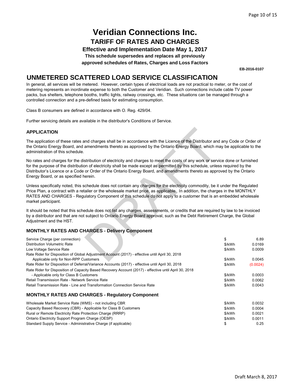**Effective and Implementation Date May 1, 2017**

**This schedule supersedes and replaces all previously**

**approved schedules of Rates, Charges and Loss Factors**

**EB-2016-0107**

### **UNMETERED SCATTERED LOAD SERVICE CLASSIFICATION**

In general, all services will be metered. However, certain types of electrical loads are not practical to meter, or the cost of metering represents an inordinate expense to both the Customer and Veridian. Such connections include cable TV power packs, bus shelters, telephone booths, traffic lights, railway crossings, etc. These situations can be managed through a controlled connection and a pre-defined basis for estimating consumption.

Class B consumers are defined in accordance with O. Reg. 429/04.

Further servicing details are available in the distributor's Conditions of Service.

#### **APPLICATION**

| <b>APPLICATION</b>                                                                                                                                                                                                                                                                                                                                                                                                                   |                                      |                                      |
|--------------------------------------------------------------------------------------------------------------------------------------------------------------------------------------------------------------------------------------------------------------------------------------------------------------------------------------------------------------------------------------------------------------------------------------|--------------------------------------|--------------------------------------|
| The application of these rates and charges shall be in accordance with the Licence of the Distributor and any Code or Order of<br>the Ontario Energy Board, and amendments thereto as approved by the Ontario Energy Board, which may be applicable to the<br>administration of this schedule.                                                                                                                                       |                                      |                                      |
| No rates and charges for the distribution of electricity and charges to meet the costs of any work or service done or furnished<br>for the purpose of the distribution of electricity shall be made except as permitted by this schedule, unless required by the<br>Distributor's Licence or a Code or Order of the Ontario Energy Board, and amendments thereto as approved by the Ontario<br>Energy Board, or as specified herein. |                                      |                                      |
| Unless specifically noted, this schedule does not contain any charges for the electricity commodity, be it under the Regulated<br>Price Plan, a contract with a retailer or the wholesale market price, as applicable. In addition, the charges in the MONTHLY<br>RATES AND CHARGES - Regulatory Component of this schedule do not apply to a customer that is an embedded wholesale<br>market participant.                          |                                      |                                      |
| It should be noted that this schedule does not list any charges, assessments, or credits that are required by law to be invoiced<br>by a distributor and that are not subject to Ontario Energy Board approval, such as the Debt Retirement Charge, the Global<br>Adjustment and the HST.                                                                                                                                            |                                      |                                      |
| <b>MONTHLY RATES AND CHARGES - Delivery Component</b>                                                                                                                                                                                                                                                                                                                                                                                |                                      |                                      |
| Service Charge (per connection)<br><b>Distribution Volumetric Rate</b><br>Low Voltage Service Rate<br>Rate Rider for Disposition of Global Adjustment Account (2017) - effective until April 30, 2018                                                                                                                                                                                                                                | \$<br>\$/kWh<br>\$/kWh               | 6.89<br>0.0169<br>0.0009             |
| Applicable only for Non-RPP Customers<br>Rate Rider for Disposition of Deferral/Variance Accounts (2017) - effective until April 30, 2018<br>Rate Rider for Disposition of Capacity Based Recovery Account (2017) - effective until April 30, 2018                                                                                                                                                                                   | \$/kWh<br>\$/kWh                     | 0.0045<br>(0.0024)                   |
| - Applicable only for Class B Customers<br>Retail Transmission Rate - Network Service Rate<br>Retail Transmission Rate - Line and Transformation Connection Service Rate                                                                                                                                                                                                                                                             | \$/kWh<br>\$/kWh<br>\$/kWh           | 0.0003<br>0.0062<br>0.0043           |
| <b>MONTHLY RATES AND CHARGES - Regulatory Component</b>                                                                                                                                                                                                                                                                                                                                                                              |                                      |                                      |
| Wholesale Market Service Rate (WMS) - not including CBR<br>Capacity Based Recovery (CBR) - Applicable for Class B Customers<br>Rural or Remote Electricity Rate Protection Charge (RRRP)<br>Ontario Electricity Support Program Charge (OESP)                                                                                                                                                                                        | \$/kWh<br>\$/kWh<br>\$/kWh<br>\$/kWh | 0.0032<br>0.0004<br>0.0021<br>0.0011 |
| Standard Supply Service - Administrative Charge (if applicable)                                                                                                                                                                                                                                                                                                                                                                      | \$                                   | 0.25                                 |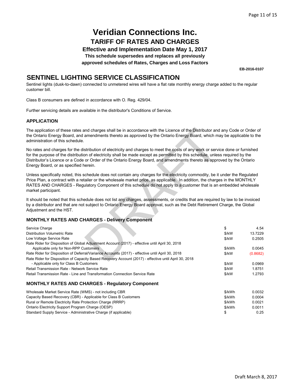**Effective and Implementation Date May 1, 2017**

**This schedule supersedes and replaces all previously**

**approved schedules of Rates, Charges and Loss Factors**

**EB-2016-0107**

### **SENTINEL LIGHTING SERVICE CLASSIFICATION**

Sentinel lights (dusk-to-dawn) connected to unmetered wires will have a flat rate monthly energy charge added to the regular customer bill.

Class B consumers are defined in accordance with O. Reg. 429/04.

Further servicing details are available in the distributor's Conditions of Service.

#### **APPLICATION**

#### **MONTHLY RATES AND CHARGES - Delivery Component**

| The application of these rates and charges shall be in accordance with the Licence of the Distributor and any Code or Order of<br>the Ontario Energy Board, and amendments thereto as approved by the Ontario Energy Board, which may be applicable to the<br>administration of this schedule.                                                                                                                                       |        |          |
|--------------------------------------------------------------------------------------------------------------------------------------------------------------------------------------------------------------------------------------------------------------------------------------------------------------------------------------------------------------------------------------------------------------------------------------|--------|----------|
| No rates and charges for the distribution of electricity and charges to meet the costs of any work or service done or furnished<br>for the purpose of the distribution of electricity shall be made except as permitted by this schedule, unless required by the<br>Distributor's Licence or a Code or Order of the Ontario Energy Board, and amendments thereto as approved by the Ontario<br>Energy Board, or as specified herein. |        |          |
| Unless specifically noted, this schedule does not contain any charges for the electricity commodity, be it under the Regulated<br>Price Plan, a contract with a retailer or the wholesale market price, as applicable. In addition, the charges in the MONTHLY<br>RATES AND CHARGES - Regulatory Component of this schedule do not apply to a customer that is an embedded wholesale<br>market participant.                          |        |          |
| It should be noted that this schedule does not list any charges, assessments, or credits that are required by law to be invoiced<br>by a distributor and that are not subject to Ontario Energy Board approval, such as the Debt Retirement Charge, the Global<br>Adjustment and the HST.                                                                                                                                            |        |          |
| <b>MONTHLY RATES AND CHARGES - Delivery Component</b>                                                                                                                                                                                                                                                                                                                                                                                |        |          |
| Service Charge                                                                                                                                                                                                                                                                                                                                                                                                                       | \$     | 4.54     |
| <b>Distribution Volumetric Rate</b>                                                                                                                                                                                                                                                                                                                                                                                                  | \$/kW  | 13.7229  |
| Low Voltage Service Rate                                                                                                                                                                                                                                                                                                                                                                                                             | \$/kW  | 0.2505   |
| Rate Rider for Disposition of Global Adjustment Account (2017) - effective until April 30, 2018                                                                                                                                                                                                                                                                                                                                      |        |          |
| Applicable only for Non-RPP Customers                                                                                                                                                                                                                                                                                                                                                                                                | \$/kWh | 0.0045   |
| Rate Rider for Disposition of Deferral/Variance Accounts (2017) - effective until April 30, 2018                                                                                                                                                                                                                                                                                                                                     | \$/kW  | (0.8682) |
| Rate Rider for Disposition of Capacity Based Recovery Account (2017) - effective until April 30, 2018<br>- Applicable only for Class B Customers                                                                                                                                                                                                                                                                                     | \$/kW  | 0.0969   |
| Retail Transmission Rate - Network Service Rate                                                                                                                                                                                                                                                                                                                                                                                      | \$/kW  | 1.8751   |
| Retail Transmission Rate - Line and Transformation Connection Service Rate                                                                                                                                                                                                                                                                                                                                                           | \$/kW  | 1.2793   |
| <b>MONTHLY RATES AND CHARGES - Regulatory Component</b>                                                                                                                                                                                                                                                                                                                                                                              |        |          |
| Wholesale Market Service Rate (WMS) - not including CBR                                                                                                                                                                                                                                                                                                                                                                              | \$/kWh | 0.0032   |
| Capacity Based Recovery (CBR) - Applicable for Class B Customers                                                                                                                                                                                                                                                                                                                                                                     | \$/kWh | 0.0004   |
| Rural or Remote Electricity Rate Protection Charge (RRRP)                                                                                                                                                                                                                                                                                                                                                                            | \$/kWh | 0.0021   |

\$/kWh 0.0011 \$ 0.25 Ontario Electricity Support Program Charge (OESP) Standard Supply Service - Administrative Charge (if applicable)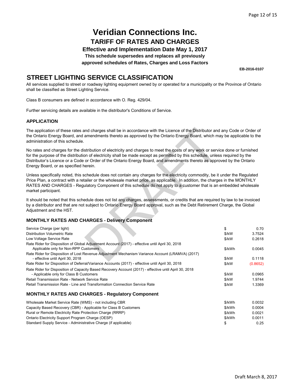**Effective and Implementation Date May 1, 2017**

**This schedule supersedes and replaces all previously**

**approved schedules of Rates, Charges and Loss Factors**

**EB-2016-0107**

### **STREET LIGHTING SERVICE CLASSIFICATION**

All services supplied to street or roadway lighting equipment owned by or operated for a municipality or the Province of Ontario shall be classified as Street Lighting Service.

Class B consumers are defined in accordance with O. Reg. 429/04.

Further servicing details are available in the distributor's Conditions of Service.

#### **APPLICATION**

| The application of these rates and charges shall be in accordance with the Licence of the Distributor and any Code or Order of<br>the Ontario Energy Board, and amendments thereto as approved by the Ontario Energy Board, which may be applicable to the<br>administration of this schedule.                                                                                                                                       |        |          |
|--------------------------------------------------------------------------------------------------------------------------------------------------------------------------------------------------------------------------------------------------------------------------------------------------------------------------------------------------------------------------------------------------------------------------------------|--------|----------|
| No rates and charges for the distribution of electricity and charges to meet the costs of any work or service done or furnished<br>for the purpose of the distribution of electricity shall be made except as permitted by this schedule, unless required by the<br>Distributor's Licence or a Code or Order of the Ontario Energy Board, and amendments thereto as approved by the Ontario<br>Energy Board, or as specified herein. |        |          |
| Unless specifically noted, this schedule does not contain any charges for the electricity commodity, be it under the Regulated<br>Price Plan, a contract with a retailer or the wholesale market price, as applicable. In addition, the charges in the MONTHLY<br>RATES AND CHARGES - Regulatory Component of this schedule do not apply to a customer that is an embedded wholesale<br>market participant.                          |        |          |
| It should be noted that this schedule does not list any charges, assessments, or credits that are required by law to be invoiced<br>by a distributor and that are not subject to Ontario Energy Board approval, such as the Debt Retirement Charge, the Global<br>Adjustment and the HST.                                                                                                                                            |        |          |
| <b>MONTHLY RATES AND CHARGES - Delivery Component</b>                                                                                                                                                                                                                                                                                                                                                                                |        |          |
| Service Charge (per light)                                                                                                                                                                                                                                                                                                                                                                                                           | \$     | 0.70     |
| Distribution Volumetric Rate                                                                                                                                                                                                                                                                                                                                                                                                         | \$/kW  | 3.7524   |
| Low Voltage Service Rate                                                                                                                                                                                                                                                                                                                                                                                                             | \$/kW  | 0.2618   |
| Rate Rider for Disposition of Global Adjustment Account (2017) - effective until April 30, 2018                                                                                                                                                                                                                                                                                                                                      |        |          |
| Applicable only for Non-RPP Customers                                                                                                                                                                                                                                                                                                                                                                                                | \$/kWh | 0.0045   |
| Rate Rider for Disposition of Lost Revenue Adjustment Mechanism Variance Account (LRAMVA) (2017)                                                                                                                                                                                                                                                                                                                                     |        |          |
| - effective until April 30, 2018                                                                                                                                                                                                                                                                                                                                                                                                     | \$/kW  | 0.1118   |
| Rate Rider for Disposition of Deferral/Variance Accounts (2017) - effective until April 30, 2018                                                                                                                                                                                                                                                                                                                                     | \$/kW  | (0.8652) |
| Rate Rider for Disposition of Capacity Based Recovery Account (2017) - effective until April 30, 2018<br>- Applicable only for Class B Customers                                                                                                                                                                                                                                                                                     | \$/kW  | 0.0965   |
| Retail Transmission Rate - Network Service Rate                                                                                                                                                                                                                                                                                                                                                                                      | \$/kW  | 1.9744   |
| Retail Transmission Rate - Line and Transformation Connection Service Rate                                                                                                                                                                                                                                                                                                                                                           | \$/kW  | 1.3369   |
|                                                                                                                                                                                                                                                                                                                                                                                                                                      |        |          |
| <b>MONTHLY RATES AND CHARGES - Regulatory Component</b>                                                                                                                                                                                                                                                                                                                                                                              |        |          |
| Wholesale Market Service Rate (WMS) - not including CBR                                                                                                                                                                                                                                                                                                                                                                              | \$/kWh | 0.0032   |
| Capacity Based Recovery (CBR) - Applicable for Class B Customers                                                                                                                                                                                                                                                                                                                                                                     | \$/kWh | 0.0004   |
| Rural or Remote Electricity Rate Protection Charge (RRRP)                                                                                                                                                                                                                                                                                                                                                                            | \$/kWh | 0.0021   |
| Ontario Electricity Support Program Charge (OESP)                                                                                                                                                                                                                                                                                                                                                                                    | \$/kWh | 0.0011   |
| Standard Supply Service - Administrative Charge (if applicable)                                                                                                                                                                                                                                                                                                                                                                      | \$     | 0.25     |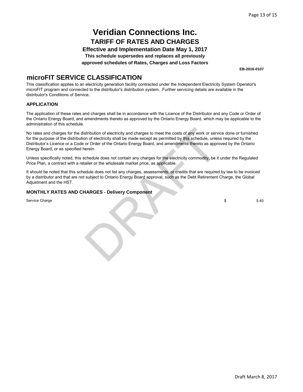**Effective and Implementation Date May 1, 2017 This schedule supersedes and replaces all previously**

**approved schedules of Rates, Charges and Loss Factors**

**EB-2016-0107**

### **microFIT SERVICE CLASSIFICATION**

This classification applies to an electricity generation facility contracted under the Independent Electricity System Operator's microFIT program and connected to the distributor's distribution system. Further servicing details are available in the distributor's Conditions of Service.

#### **APPLICATION**

The application of these rates and charges shall be in accordance with the Licence of the Distributor and any Code or Order of the Ontario Energy Board, and amendments thereto as approved by the Ontario Energy Board, which may be applicable to the administration of this schedule.

No rates and charges for the distribution of electricity and charges to meet the costs of any work or service done or furnished for the purpose of the distribution of electricity shall be made except as permitted by this schedule, unless required by the Distributor's Licence or a Code or Order of the Ontario Energy Board, and amendments thereto as approved by the Ontario Energy Board, or as specified herein. stribution of electricity and charges to meet the costs of any work or service of electricity shall be made except as permitted by this schedule, unles or Order of the Ontario Energy Board, and amendments thereto as approx

Unless specifically noted, this schedule does not contain any charges for the electricity commodity, be it under the Regulated Price Plan, a contract with a retailer or the wholesale market price, as applicable.

It should be noted that this schedule does not list any charges, assessments, or credits that are required by law to be invoiced by a distributor and that are not subject to Ontario Energy Board approval, such as the Debt Retirement Charge, the Global Adjustment and the HST.

#### **MONTHLY RATES AND CHARGES - Delivery Component**

Service Charge

 $$ 5.40$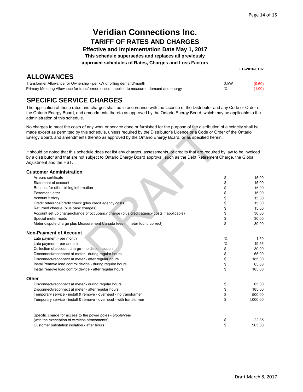**EB-2016-0107**

## **Veridian Connections Inc. TARIFF OF RATES AND CHARGES**

**Effective and Implementation Date May 1, 2017**

**This schedule supersedes and replaces all previously**

**approved schedules of Rates, Charges and Loss Factors**

| <b>ALLOWANCES</b>                                                                            |  |
|----------------------------------------------------------------------------------------------|--|
| . The mode manager Allers manager of the Company blue in the state of the Hillian Indian and |  |

| Transformer Allowance for Ownership - per kW of billing demand/month                      | \$/kW | (0.60) |
|-------------------------------------------------------------------------------------------|-------|--------|
| Primary Metering Allowance for transformer losses - applied to measured demand and energy |       | (1.00) |

## **SPECIFIC SERVICE CHARGES**

The application of these rates and charges shall be in accordance with the Licence of the Distributor and any Code or Order of the Ontario Energy Board, and amendments thereto as approved by the Ontario Energy Board, which may be applicable to the administration of this schedule.

No charges to meet the costs of any work or service done or furnished for the purpose of the distribution of electricity shall be made except as permitted by this schedule, unless required by the Distributor's Licence or a Code or Order of the Ontario Energy Board, and amendments thereto as approved by the Ontario Energy Board, or as specified herein.

| IND Charges to meet the costs of any work or service done or furnished for the purpose or the distribution or electricity shall be<br>made except as permitted by this schedule, unless required by the Distributor's Licence or a Code or Order of the Ontario                           |               |          |
|-------------------------------------------------------------------------------------------------------------------------------------------------------------------------------------------------------------------------------------------------------------------------------------------|---------------|----------|
| Energy Board, and amendments thereto as approved by the Ontario Energy Board, or as specified herein.                                                                                                                                                                                     |               |          |
| It should be noted that this schedule does not list any charges, assessments, or credits that are required by law to be invoiced<br>by a distributor and that are not subject to Ontario Energy Board approval, such as the Debt Retirement Charge, the Global<br>Adjustment and the HST. |               |          |
| <b>Customer Administration</b>                                                                                                                                                                                                                                                            |               |          |
| Arrears certificate                                                                                                                                                                                                                                                                       | \$            | 15.00    |
| Statement of account                                                                                                                                                                                                                                                                      | \$            | 15.00    |
| Request for other billing information                                                                                                                                                                                                                                                     | \$            | 15.00    |
| Easement letter                                                                                                                                                                                                                                                                           | \$            | 15.00    |
| Account history                                                                                                                                                                                                                                                                           | \$            | 15.00    |
| Credit reference/credit check (plus credit agency costs)                                                                                                                                                                                                                                  | \$            | 15.00    |
| Returned cheque (plus bank charges)                                                                                                                                                                                                                                                       | \$            | 15.00    |
| Account set up charge/change of occupancy charge (plus credit agency costs if applicable)                                                                                                                                                                                                 | \$            | 30.00    |
| Special meter reads                                                                                                                                                                                                                                                                       | \$            | 30.00    |
| Meter dispute charge plus Measurement Canada fees (if meter found correct)                                                                                                                                                                                                                | \$            | 30.00    |
| <b>Non-Payment of Account</b>                                                                                                                                                                                                                                                             |               |          |
| Late payment - per month                                                                                                                                                                                                                                                                  | $\frac{0}{0}$ | 1.50     |
| Late payment - per annum                                                                                                                                                                                                                                                                  | %             | 19.56    |
| Collection of account charge - no disconnection                                                                                                                                                                                                                                           | \$            | 30.00    |
| Disconnect/reconnect at meter - during regular hours                                                                                                                                                                                                                                      | \$            | 65.00    |
| Disconnect/reconnect at meter - after regular hours                                                                                                                                                                                                                                       | \$            | 185.00   |
| Install/remove load control device - during regular hours                                                                                                                                                                                                                                 | \$            | 65.00    |
| Install/remove load control device - after regular hours                                                                                                                                                                                                                                  | \$            | 185.00   |
| <b>Other</b>                                                                                                                                                                                                                                                                              |               |          |
| Disconnect/reconnect at meter - during regular hours                                                                                                                                                                                                                                      | \$            | 65.00    |
| Disconnect/reconnect at meter - after regular hours                                                                                                                                                                                                                                       | \$            | 185.00   |
| Temporary service - install & remove - overhead - no transformer                                                                                                                                                                                                                          | \$            | 500.00   |
| Temporary service - install & remove - overhead - with transformer                                                                                                                                                                                                                        | \$            | 1,000.00 |
| Specific charge for access to the power poles - \$/pole/year                                                                                                                                                                                                                              |               |          |
| (with the exeception of wireless attachments)                                                                                                                                                                                                                                             | \$            | 22.35    |
| Customer substation isolation - after hours                                                                                                                                                                                                                                               | \$            | 905.00   |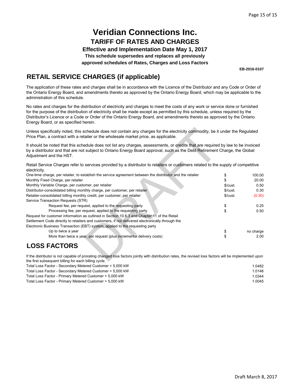**Effective and Implementation Date May 1, 2017 This schedule supersedes and replaces all previously**

**approved schedules of Rates, Charges and Loss Factors**

**EB-2016-0107**

## **RETAIL SERVICE CHARGES (if applicable)**

The application of these rates and charges shall be in accordance with the Licence of the Distributor and any Code or Order of the Ontario Energy Board, and amendments thereto as approved by the Ontario Energy Board, which may be applicable to the administration of this schedule.

No rates and charges for the distribution of electricity and charges to meet the costs of any work or service done or furnished for the purpose of the distribution of electricity shall be made except as permitted by this schedule, unless required by the Distributor's Licence or a Code or Order of the Ontario Energy Board, and amendments thereto as approved by the Ontario Energy Board, or as specified herein.

| Unless specifically noted, this schedule does not contain any charges for the electricity commodity, be it under the Regulated<br>Price Plan, a contract with a retailer or the wholesale market price, as applicable.                                                                    |         |           |
|-------------------------------------------------------------------------------------------------------------------------------------------------------------------------------------------------------------------------------------------------------------------------------------------|---------|-----------|
| It should be noted that this schedule does not list any charges, assessments, or credits that are required by law to be invoiced<br>by a distributor and that are not subject to Ontario Energy Board approval, such as the Debt Retirement Charge, the Global<br>Adjustment and the HST. |         |           |
| Retail Service Charges refer to services provided by a distributor to retailers or customers related to the supply of competitive<br>electricity.                                                                                                                                         |         |           |
| One-time charge, per retailer, to establish the service agreement between the distributor and the retailer                                                                                                                                                                                | \$      | 100.00    |
| Monthly Fixed Charge, per retailer                                                                                                                                                                                                                                                        |         | 20.00     |
| Monthly Variable Charge, per customer, per retailer                                                                                                                                                                                                                                       | \$/cut. | 0.50      |
| Distributor-consolidated billing monthly charge, per customer, per retailer                                                                                                                                                                                                               | \$/cut. | 0.30      |
| Retailer-consolidated billing monthly credit, per customer, per retailer                                                                                                                                                                                                                  | \$/cut. | (0.30)    |
| Service Transaction Requests (STR)                                                                                                                                                                                                                                                        |         |           |
| Request fee, per request, applied to the requesting party                                                                                                                                                                                                                                 | \$      | 0.25      |
| Processing fee, per request, applied to the requesting party                                                                                                                                                                                                                              | \$      | 0.50      |
| Request for customer information as outlined in Section 10.6.3 and Chapter 11 of the Retail                                                                                                                                                                                               |         |           |
| Settlement Code directly to retailers and customers, if not delivered electronically through the                                                                                                                                                                                          |         |           |
| Electronic Business Transaction (EBT) system, applied to the requesting party                                                                                                                                                                                                             |         |           |
| Up to twice a year                                                                                                                                                                                                                                                                        | \$      | no charge |
| More than twice a year, per request (plus incremental delivery costs)                                                                                                                                                                                                                     | \$      | 2.00      |
| <b>LOSS FACTORS</b>                                                                                                                                                                                                                                                                       |         |           |
| If the distributor is not capable of prorating changed loss factors jointly with distribution rates, the revised loss factors will be implemented upon<br>the first subsequent billing for each billing cycle                                                                             |         |           |

## **LOSS FACTORS**

If the distributor is not capable of prorating changed loss factors jointly with distribution rates, the revised loss factors will be implemented upon the first subsequent billing for each billing cycle.

| Total Loss Factor - Secondary Metered Customer < 5,000 kW | 1.0482 |
|-----------------------------------------------------------|--------|
| Total Loss Factor - Secondary Metered Customer > 5,000 kW | 1.0146 |
| Total Loss Factor - Primary Metered Customer < 5,000 kW   | 1.0344 |
| Total Loss Factor - Primary Metered Customer > 5,000 kW   | 1.0045 |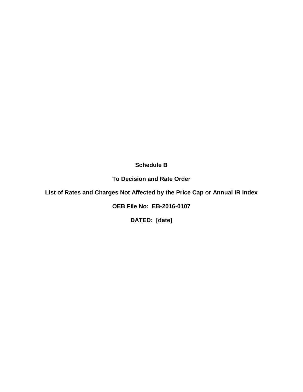**Schedule B**

**To Decision and Rate Order**

**List of Rates and Charges Not Affected by the Price Cap or Annual IR Index**

**OEB File No: EB-2016-0107**

**DATED: [date]**